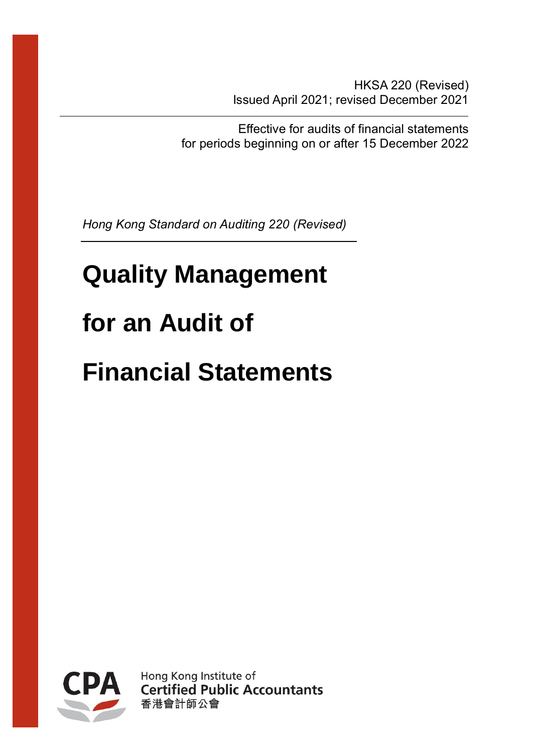HKSA 220 (Revised) Issued April 2021; revised December 2021

Effective for audits of financial statements for periods beginning on or after 15 December 2022

*Hong Kong Standard on Auditing 220 (Revised)*

# **Quality Management for an Audit of**

# **Financial Statements**



Hong Kong Institute of **Certified Public Accountants** 香港會計師公會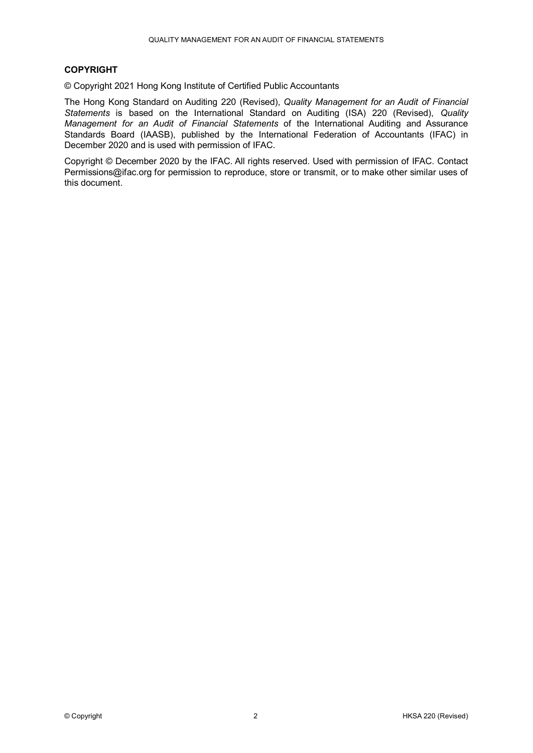#### **COPYRIGHT**

© Copyright 2021 Hong Kong Institute of Certified Public Accountants

The Hong Kong Standard on Auditing 220 (Revised), *Quality Management for an Audit of Financial Statements* is based on the International Standard on Auditing (ISA) 220 (Revised), *Quality Management for an Audit of Financial Statements* of the International Auditing and Assurance Standards Board (IAASB), published by the International Federation of Accountants (IFAC) in December 2020 and is used with permission of IFAC.

Copyright © December 2020 by the IFAC. All rights reserved. Used with permission of IFAC. Contact Permissions@ifac.org for permission to reproduce, store or transmit, or to make other similar uses of this document.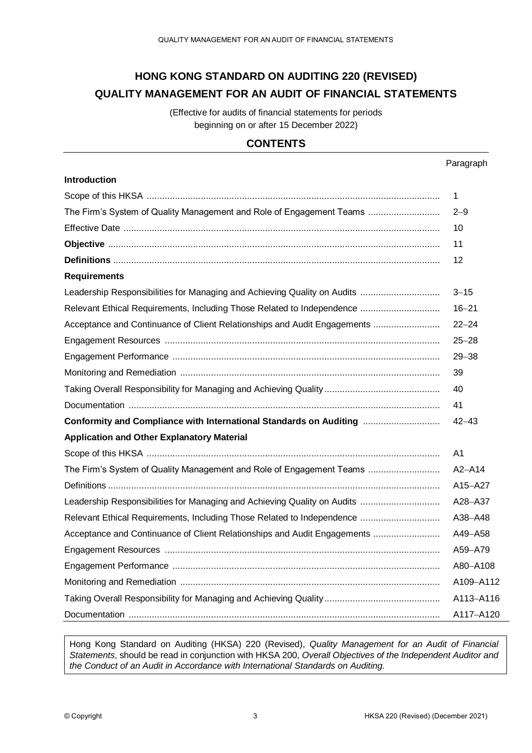# **HONG KONG STANDARD ON AUDITING 220 (REVISED) QUALITY MANAGEMENT FOR AN AUDIT OF FINANCIAL STATEMENTS**

(Effective for audits of financial statements for periods beginning on or after 15 December 2022)

# **CONTENTS**

| <b>Introduction</b>                                                      |                |
|--------------------------------------------------------------------------|----------------|
|                                                                          | 1              |
| The Firm's System of Quality Management and Role of Engagement Teams     | $2 - 9$        |
|                                                                          | 10             |
|                                                                          | 11             |
|                                                                          | 12             |
| <b>Requirements</b>                                                      |                |
| Leadership Responsibilities for Managing and Achieving Quality on Audits | $3 - 15$       |
| Relevant Ethical Requirements, Including Those Related to Independence   | $16 - 21$      |
| Acceptance and Continuance of Client Relationships and Audit Engagements | $22 - 24$      |
|                                                                          | $25 - 28$      |
|                                                                          | $29 - 38$      |
|                                                                          | 39             |
|                                                                          | 40             |
|                                                                          | 41             |
| Conformity and Compliance with International Standards on Auditing       | $42 - 43$      |
| <b>Application and Other Explanatory Material</b>                        |                |
|                                                                          | A <sub>1</sub> |
| The Firm's System of Quality Management and Role of Engagement Teams     | $A2 - A14$     |
|                                                                          | A15-A27        |
| Leadership Responsibilities for Managing and Achieving Quality on Audits | A28-A37        |
| Relevant Ethical Requirements, Including Those Related to Independence   | A38-A48        |
| Acceptance and Continuance of Client Relationships and Audit Engagements | A49-A58        |
|                                                                          | A59-A79        |
|                                                                          | A80-A108       |
|                                                                          | A109-A112      |
|                                                                          | A113-A116      |
|                                                                          | A117-A120      |

Hong Kong Standard on Auditing (HKSA) 220 (Revised), *Quality Management for an Audit of Financial Statements*, should be read in conjunction with HKSA 200, *Overall Objectives of the Independent Auditor and the Conduct of an Audit in Accordance with International Standards on Auditing.*

Paragraph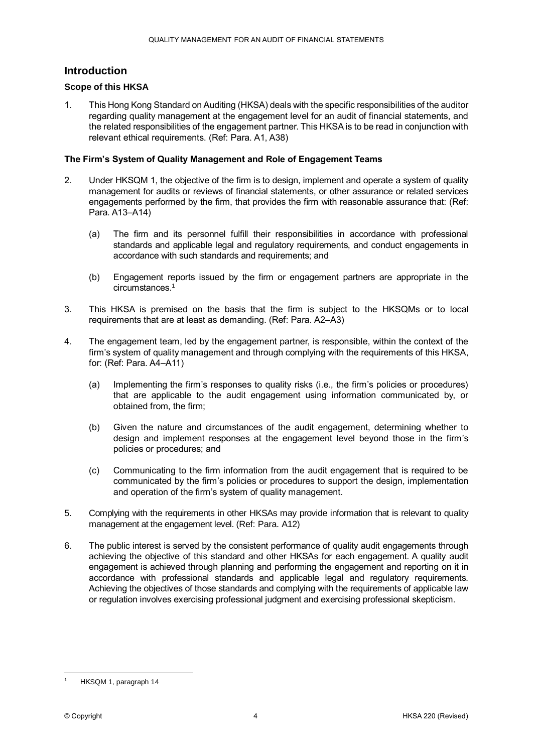## **Introduction**

#### **Scope of this HKSA**

1. This Hong Kong Standard on Auditing (HKSA) deals with the specific responsibilities of the auditor regarding quality management at the engagement level for an audit of financial statements, and the related responsibilities of the engagement partner. This HKSA is to be read in conjunction with relevant ethical requirements. (Ref: Para. A1, A38)

#### **The Firm's System of Quality Management and Role of Engagement Teams**

- 2. Under HKSQM 1, the objective of the firm is to design, implement and operate a system of quality management for audits or reviews of financial statements, or other assurance or related services engagements performed by the firm, that provides the firm with reasonable assurance that: (Ref: Para. A13–A14)
	- (a) The firm and its personnel fulfill their responsibilities in accordance with professional standards and applicable legal and regulatory requirements, and conduct engagements in accordance with such standards and requirements; and
	- (b) Engagement reports issued by the firm or engagement partners are appropriate in the circumstances.<sup>1</sup>
- 3. This HKSA is premised on the basis that the firm is subject to the HKSQMs or to local requirements that are at least as demanding. (Ref: Para. A2–A3)
- 4. The engagement team, led by the engagement partner, is responsible, within the context of the firm's system of quality management and through complying with the requirements of this HKSA, for: (Ref: Para. A4–A11)
	- (a) Implementing the firm's responses to quality risks (i.e., the firm's policies or procedures) that are applicable to the audit engagement using information communicated by, or obtained from, the firm;
	- (b) Given the nature and circumstances of the audit engagement, determining whether to design and implement responses at the engagement level beyond those in the firm's policies or procedures; and
	- (c) Communicating to the firm information from the audit engagement that is required to be communicated by the firm's policies or procedures to support the design, implementation and operation of the firm's system of quality management.
- 5. Complying with the requirements in other HKSAs may provide information that is relevant to quality management at the engagement level. (Ref: Para. A12)
- 6. The public interest is served by the consistent performance of quality audit engagements through achieving the objective of this standard and other HKSAs for each engagement. A quality audit engagement is achieved through planning and performing the engagement and reporting on it in accordance with professional standards and applicable legal and regulatory requirements. Achieving the objectives of those standards and complying with the requirements of applicable law or regulation involves exercising professional judgment and exercising professional skepticism.

<sup>&</sup>lt;u>.</u> HKSQM 1, paragraph 14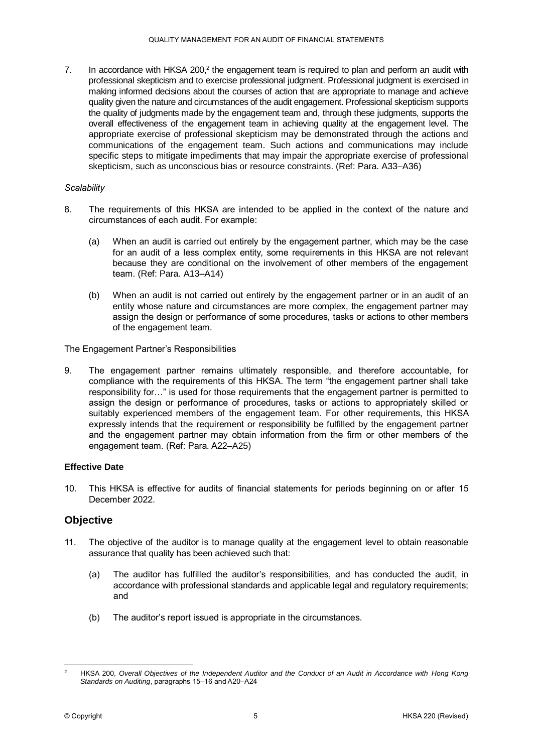7. In accordance with HKSA 200, $2$  the engagement team is required to plan and perform an audit with professional skepticism and to exercise professional judgment. Professional judgment is exercised in making informed decisions about the courses of action that are appropriate to manage and achieve quality given the nature and circumstances of the audit engagement. Professional skepticism supports the quality of judgments made by the engagement team and, through these judgments, supports the overall effectiveness of the engagement team in achieving quality at the engagement level. The appropriate exercise of professional skepticism may be demonstrated through the actions and communications of the engagement team. Such actions and communications may include specific steps to mitigate impediments that may impair the appropriate exercise of professional skepticism, such as unconscious bias or resource constraints. (Ref: Para. A33–A36)

#### *Scalability*

- 8. The requirements of this HKSA are intended to be applied in the context of the nature and circumstances of each audit. For example:
	- (a) When an audit is carried out entirely by the engagement partner, which may be the case for an audit of a less complex entity, some requirements in this HKSA are not relevant because they are conditional on the involvement of other members of the engagement team. (Ref: Para. A13–A14)
	- (b) When an audit is not carried out entirely by the engagement partner or in an audit of an entity whose nature and circumstances are more complex, the engagement partner may assign the design or performance of some procedures, tasks or actions to other members of the engagement team.

The Engagement Partner's Responsibilities

9. The engagement partner remains ultimately responsible, and therefore accountable, for compliance with the requirements of this HKSA. The term "the engagement partner shall take responsibility for…" is used for those requirements that the engagement partner is permitted to assign the design or performance of procedures, tasks or actions to appropriately skilled or suitably experienced members of the engagement team. For other requirements, this HKSA expressly intends that the requirement or responsibility be fulfilled by the engagement partner and the engagement partner may obtain information from the firm or other members of the engagement team. (Ref: Para. A22–A25)

#### **Effective Date**

10. This HKSA is effective for audits of financial statements for periods beginning on or after 15 December 2022.

#### **Objective**

- 11. The objective of the auditor is to manage quality at the engagement level to obtain reasonable assurance that quality has been achieved such that:
	- (a) The auditor has fulfilled the auditor's responsibilities, and has conducted the audit, in accordance with professional standards and applicable legal and regulatory requirements; and
	- (b) The auditor's report issued is appropriate in the circumstances.

<sup>1</sup> <sup>2</sup> HKSA 200, *Overall Objectives of the Independent Auditor and the Conduct of an Audit in Accordance with Hong Kong* Standards on Auditing, paragraphs 15-16 and A20-A24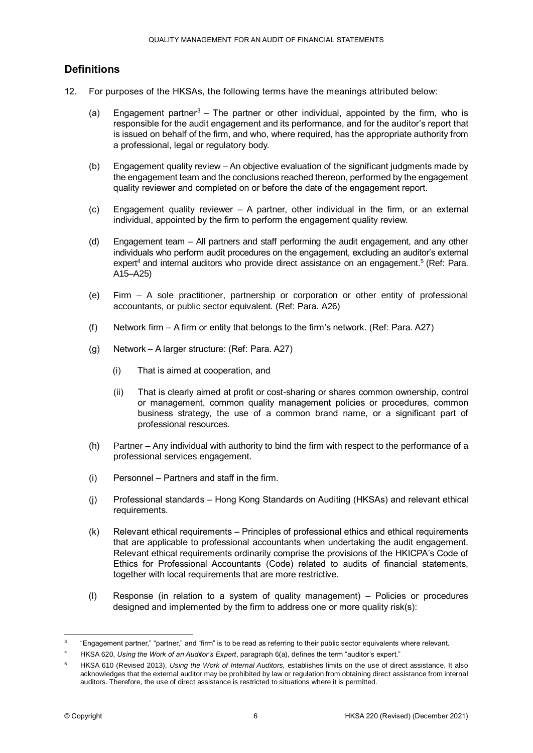# **Definitions**

- 12. For purposes of the HKSAs, the following terms have the meanings attributed below:
	- (a) Engagement partner<sup>3</sup> The partner or other individual, appointed by the firm, who is responsible for the audit engagement and its performance, and for the auditor's report that is issued on behalf of the firm, and who, where required, has the appropriate authority from a professional, legal or regulatory body.
	- (b) Engagement quality review An objective evaluation of the significant judgments made by the engagement team and the conclusions reached thereon, performed by the engagement quality reviewer and completed on or before the date of the engagement report.
	- (c) Engagement quality reviewer A partner, other individual in the firm, or an external individual, appointed by the firm to perform the engagement quality review.
	- (d) Engagement team All partners and staff performing the audit engagement, and any other individuals who perform audit procedures on the engagement, excluding an auditor's external expert<sup>4</sup> and internal auditors who provide direct assistance on an engagement.<sup>5</sup> (Ref: Para. A15–A25)
	- (e) Firm A sole practitioner, partnership or corporation or other entity of professional accountants, or public sector equivalent. (Ref: Para. A26)
	- (f) Network firm A firm or entity that belongs to the firm's network. (Ref: Para. A27)
	- (g) Network A larger structure: (Ref: Para. A27)
		- (i) That is aimed at cooperation, and
		- (ii) That is clearly aimed at profit or cost-sharing or shares common ownership, control or management, common quality management policies or procedures, common business strategy, the use of a common brand name, or a significant part of professional resources.
	- (h) Partner Any individual with authority to bind the firm with respect to the performance of a professional services engagement.
	- (i) Personnel Partners and staff in the firm.
	- (j) Professional standards Hong Kong Standards on Auditing (HKSAs) and relevant ethical requirements.
	- (k) Relevant ethical requirements Principles of professional ethics and ethical requirements that are applicable to professional accountants when undertaking the audit engagement. Relevant ethical requirements ordinarily comprise the provisions of the HKICPA's Code of Ethics for Professional Accountants (Code) related to audits of financial statements, together with local requirements that are more restrictive.
	- (l) Response (in relation to a system of quality management) Policies or procedures designed and implemented by the firm to address one or more quality risk(s):

 $\frac{1}{3}$ "Engagement partner," "partner," and "firm" is to be read as referring to their public sector equivalents where relevant.

<sup>4</sup> HKSA 620, *Using the Work of an Auditor's Expert*, paragraph 6(a), defines the term "auditor's expert."

<sup>5</sup> HKSA 610 (Revised 2013), *Using the Work of Internal Auditors,* establishes limits on the use of direct assistance. It also acknowledges that the external auditor may be prohibited by law or regulation from obtaining direct assistance from internal auditors. Therefore, the use of direct assistance is restricted to situations where it is permitted.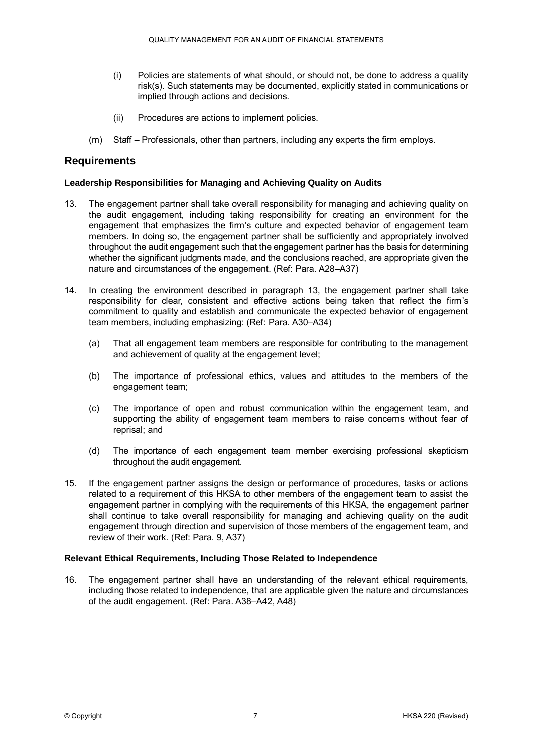- (i) Policies are statements of what should, or should not, be done to address a quality risk(s). Such statements may be documented, explicitly stated in communications or implied through actions and decisions.
- (ii) Procedures are actions to implement policies.
- (m) Staff Professionals, other than partners, including any experts the firm employs.

## **Requirements**

#### **Leadership Responsibilities for Managing and Achieving Quality on Audits**

- 13. The engagement partner shall take overall responsibility for managing and achieving quality on the audit engagement, including taking responsibility for creating an environment for the engagement that emphasizes the firm's culture and expected behavior of engagement team members. In doing so, the engagement partner shall be sufficiently and appropriately involved throughout the audit engagement such that the engagement partner has the basis for determining whether the significant judgments made, and the conclusions reached, are appropriate given the nature and circumstances of the engagement. (Ref: Para. A28–A37)
- 14. In creating the environment described in paragraph 13, the engagement partner shall take responsibility for clear, consistent and effective actions being taken that reflect the firm's commitment to quality and establish and communicate the expected behavior of engagement team members, including emphasizing: (Ref: Para. A30–A34)
	- (a) That all engagement team members are responsible for contributing to the management and achievement of quality at the engagement level;
	- (b) The importance of professional ethics, values and attitudes to the members of the engagement team;
	- (c) The importance of open and robust communication within the engagement team, and supporting the ability of engagement team members to raise concerns without fear of reprisal; and
	- (d) The importance of each engagement team member exercising professional skepticism throughout the audit engagement.
- 15. If the engagement partner assigns the design or performance of procedures, tasks or actions related to a requirement of this HKSA to other members of the engagement team to assist the engagement partner in complying with the requirements of this HKSA, the engagement partner shall continue to take overall responsibility for managing and achieving quality on the audit engagement through direction and supervision of those members of the engagement team, and review of their work. (Ref: Para. 9, A37)

#### **Relevant Ethical Requirements, Including Those Related to Independence**

16. The engagement partner shall have an understanding of the relevant ethical requirements, including those related to independence, that are applicable given the nature and circumstances of the audit engagement. (Ref: Para. A38–A42, A48)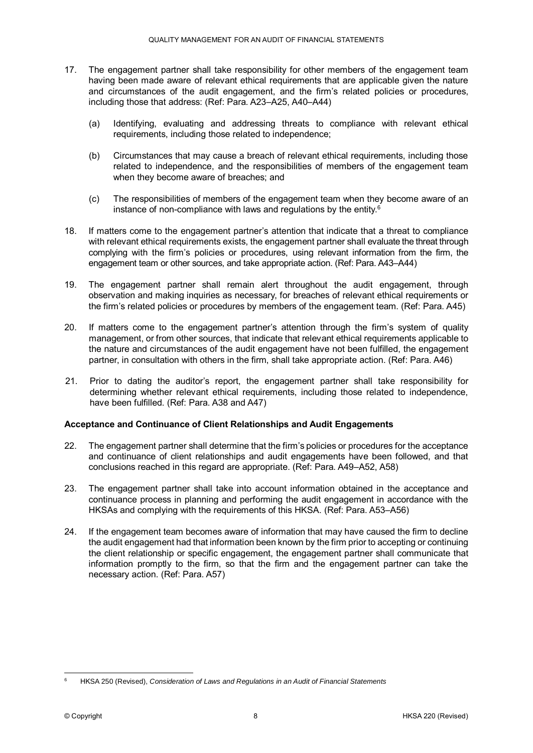- 17. The engagement partner shall take responsibility for other members of the engagement team having been made aware of relevant ethical requirements that are applicable given the nature and circumstances of the audit engagement, and the firm's related policies or procedures, including those that address: (Ref: Para. A23–A25, A40–A44)
	- (a) Identifying, evaluating and addressing threats to compliance with relevant ethical requirements, including those related to independence;
	- (b) Circumstances that may cause a breach of relevant ethical requirements, including those related to independence, and the responsibilities of members of the engagement team when they become aware of breaches; and
	- (c) The responsibilities of members of the engagement team when they become aware of an instance of non-compliance with laws and regulations by the entity.<sup>6</sup>
- 18. If matters come to the engagement partner's attention that indicate that a threat to compliance with relevant ethical requirements exists, the engagement partner shall evaluate the threat through complying with the firm's policies or procedures, using relevant information from the firm, the engagement team or other sources, and take appropriate action. (Ref: Para. A43–A44)
- 19. The engagement partner shall remain alert throughout the audit engagement, through observation and making inquiries as necessary, for breaches of relevant ethical requirements or the firm's related policies or procedures by members of the engagement team. (Ref: Para. A45)
- 20. If matters come to the engagement partner's attention through the firm's system of quality management, or from other sources, that indicate that relevant ethical requirements applicable to the nature and circumstances of the audit engagement have not been fulfilled, the engagement partner, in consultation with others in the firm, shall take appropriate action. (Ref: Para. A46)
- 21. Prior to dating the auditor's report, the engagement partner shall take responsibility for determining whether relevant ethical requirements, including those related to independence, have been fulfilled. (Ref: Para. A38 and A47)

#### **Acceptance and Continuance of Client Relationships and Audit Engagements**

- 22. The engagement partner shall determine that the firm's policies or procedures for the acceptance and continuance of client relationships and audit engagements have been followed, and that conclusions reached in this regard are appropriate. (Ref: Para. A49–A52, A58)
- 23. The engagement partner shall take into account information obtained in the acceptance and continuance process in planning and performing the audit engagement in accordance with the HKSAs and complying with the requirements of this HKSA. (Ref: Para. A53–A56)
- 24. If the engagement team becomes aware of information that may have caused the firm to decline the audit engagement had that information been known by the firm prior to accepting or continuing the client relationship or specific engagement, the engagement partner shall communicate that information promptly to the firm, so that the firm and the engagement partner can take the necessary action. (Ref: Para. A57)

<sup>&</sup>lt;u>.</u> <sup>6</sup> HKSA 250 (Revised), *Consideration of Laws and Regulations in an Audit of Financial Statements*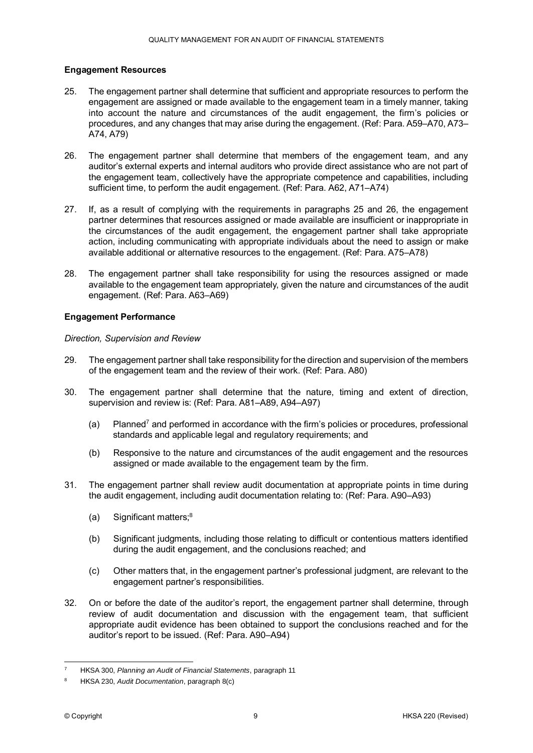#### **Engagement Resources**

- 25. The engagement partner shall determine that sufficient and appropriate resources to perform the engagement are assigned or made available to the engagement team in a timely manner, taking into account the nature and circumstances of the audit engagement, the firm's policies or procedures, and any changes that may arise during the engagement. (Ref: Para. A59–A70, A73– A74, A79)
- 26. The engagement partner shall determine that members of the engagement team, and any auditor's external experts and internal auditors who provide direct assistance who are not part of the engagement team, collectively have the appropriate competence and capabilities, including sufficient time, to perform the audit engagement. (Ref: Para. A62, A71–A74)
- 27. If, as a result of complying with the requirements in paragraphs 25 and 26, the engagement partner determines that resources assigned or made available are insufficient or inappropriate in the circumstances of the audit engagement, the engagement partner shall take appropriate action, including communicating with appropriate individuals about the need to assign or make available additional or alternative resources to the engagement. (Ref: Para. A75–A78)
- 28. The engagement partner shall take responsibility for using the resources assigned or made available to the engagement team appropriately, given the nature and circumstances of the audit engagement. (Ref: Para. A63–A69)

#### **Engagement Performance**

#### *Direction, Supervision and Review*

- 29. The engagement partner shall take responsibility for the direction and supervision of the members of the engagement team and the review of their work. (Ref: Para. A80)
- 30. The engagement partner shall determine that the nature, timing and extent of direction, supervision and review is: (Ref: Para. A81–A89, A94–A97)
	- (a) Planned<sup>7</sup> and performed in accordance with the firm's policies or procedures, professional standards and applicable legal and regulatory requirements; and
	- (b) Responsive to the nature and circumstances of the audit engagement and the resources assigned or made available to the engagement team by the firm.
- 31. The engagement partner shall review audit documentation at appropriate points in time during the audit engagement, including audit documentation relating to: (Ref: Para. A90–A93)
	- (a) Significant matters; $8<sup>8</sup>$
	- (b) Significant judgments, including those relating to difficult or contentious matters identified during the audit engagement, and the conclusions reached; and
	- (c) Other matters that, in the engagement partner's professional judgment, are relevant to the engagement partner's responsibilities.
- 32. On or before the date of the auditor's report, the engagement partner shall determine, through review of audit documentation and discussion with the engagement team, that sufficient appropriate audit evidence has been obtained to support the conclusions reached and for the auditor's report to be issued. (Ref: Para. A90–A94)

<sup>1</sup> <sup>7</sup> HKSA 300, *Planning an Audit of Financial Statements*, paragraph 11

<sup>8</sup> HKSA 230, *Audit Documentation*, paragraph 8(c)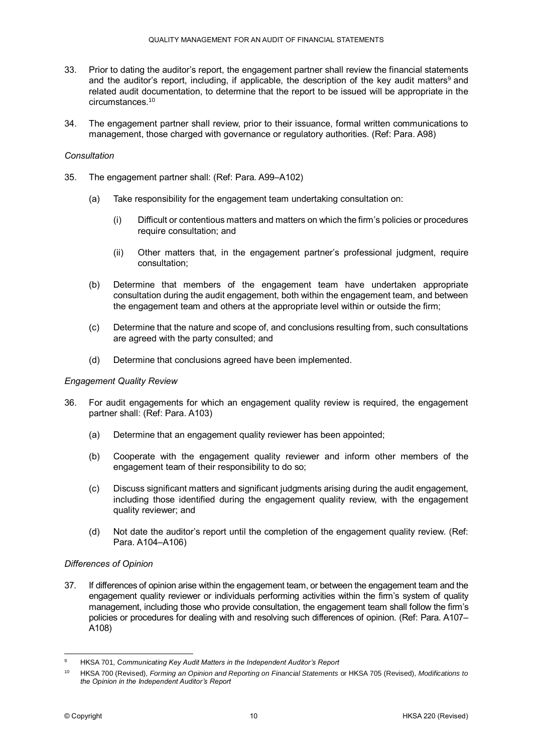- 33. Prior to dating the auditor's report, the engagement partner shall review the financial statements and the auditor's report, including, if applicable, the description of the key audit matters<sup>9</sup> and related audit documentation, to determine that the report to be issued will be appropriate in the circumstances.<sup>10</sup>
- 34. The engagement partner shall review, prior to their issuance, formal written communications to management, those charged with governance or regulatory authorities. (Ref: Para. A98)

#### *Consultation*

- 35. The engagement partner shall: (Ref: Para. A99–A102)
	- (a) Take responsibility for the engagement team undertaking consultation on:
		- (i) Difficult or contentious matters and matters on which the firm's policies or procedures require consultation; and
		- (ii) Other matters that, in the engagement partner's professional judgment, require consultation;
	- (b) Determine that members of the engagement team have undertaken appropriate consultation during the audit engagement, both within the engagement team, and between the engagement team and others at the appropriate level within or outside the firm;
	- (c) Determine that the nature and scope of, and conclusions resulting from, such consultations are agreed with the party consulted; and
	- (d) Determine that conclusions agreed have been implemented.

#### *Engagement Quality Review*

- 36. For audit engagements for which an engagement quality review is required, the engagement partner shall: (Ref: Para. A103)
	- (a) Determine that an engagement quality reviewer has been appointed;
	- (b) Cooperate with the engagement quality reviewer and inform other members of the engagement team of their responsibility to do so;
	- (c) Discuss significant matters and significant judgments arising during the audit engagement, including those identified during the engagement quality review, with the engagement quality reviewer; and
	- (d) Not date the auditor's report until the completion of the engagement quality review. (Ref: Para. A104–A106)

#### *Differences of Opinion*

37. If differences of opinion arise within the engagement team, or between the engagement team and the engagement quality reviewer or individuals performing activities within the firm's system of quality management, including those who provide consultation, the engagement team shall follow the firm's policies or procedures for dealing with and resolving such differences of opinion. (Ref: Para. A107– A108)

 $\overline{9}$ <sup>9</sup> HKSA 701, *Communicating Key Audit Matters in the Independent Auditor's Report*

<sup>10</sup> HKSA 700 (Revised), *Forming an Opinion and Reporting on Financial Statements* or HKSA 705 (Revised), *Modifications to the Opinion in the Independent Auditor's Report*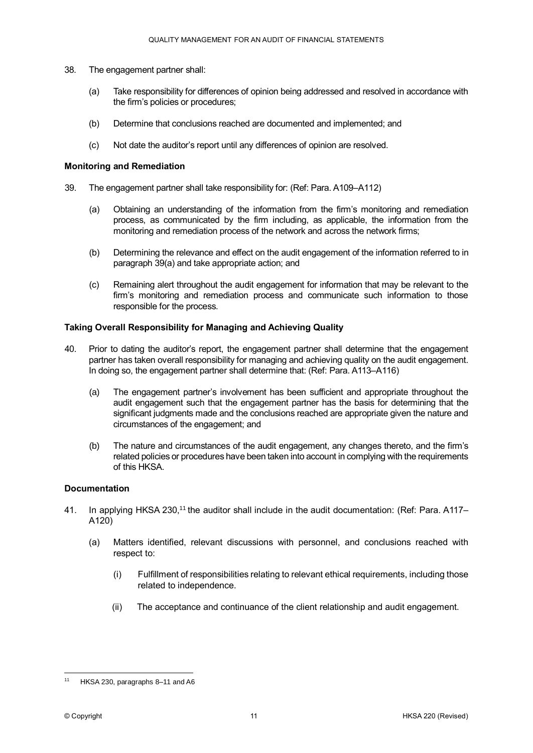- 38. The engagement partner shall:
	- (a) Take responsibility for differences of opinion being addressed and resolved in accordance with the firm's policies or procedures;
	- (b) Determine that conclusions reached are documented and implemented; and
	- (c) Not date the auditor's report until any differences of opinion are resolved.

#### **Monitoring and Remediation**

- 39. The engagement partner shall take responsibility for: (Ref: Para. A109‒A112)
	- (a) Obtaining an understanding of the information from the firm's monitoring and remediation process, as communicated by the firm including, as applicable, the information from the monitoring and remediation process of the network and across the network firms;
	- (b) Determining the relevance and effect on the audit engagement of the information referred to in paragraph 39(a) and take appropriate action; and
	- (c) Remaining alert throughout the audit engagement for information that may be relevant to the firm's monitoring and remediation process and communicate such information to those responsible for the process.

#### **Taking Overall Responsibility for Managing and Achieving Quality**

- 40. Prior to dating the auditor's report, the engagement partner shall determine that the engagement partner has taken overall responsibility for managing and achieving quality on the audit engagement. In doing so, the engagement partner shall determine that: (Ref: Para. A113–A116)
	- (a) The engagement partner's involvement has been sufficient and appropriate throughout the audit engagement such that the engagement partner has the basis for determining that the significant judgments made and the conclusions reached are appropriate given the nature and circumstances of the engagement; and
	- (b) The nature and circumstances of the audit engagement, any changes thereto, and the firm's related policies or procedures have been taken into account in complying with the requirements of this HKSA.

#### **Documentation**

- 41. In applying HKSA 230,<sup>11</sup> the auditor shall include in the audit documentation: (Ref: Para. A117– A120)
	- (a) Matters identified, relevant discussions with personnel, and conclusions reached with respect to:
		- (i) Fulfillment of responsibilities relating to relevant ethical requirements, including those related to independence.
		- (ii) The acceptance and continuance of the client relationship and audit engagement.

<sup>&</sup>lt;u>.</u> HKSA 230, paragraphs 8–11 and A6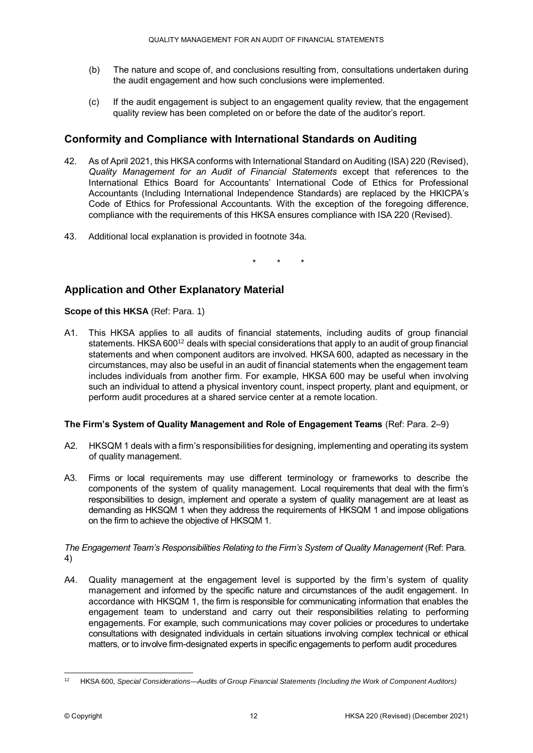- (b) The nature and scope of, and conclusions resulting from, consultations undertaken during the audit engagement and how such conclusions were implemented.
- (c) If the audit engagement is subject to an engagement quality review, that the engagement quality review has been completed on or before the date of the auditor's report.

# **Conformity and Compliance with International Standards on Auditing**

- 42. As of April 2021, this HKSA conforms with International Standard on Auditing (ISA) 220 (Revised), *Quality Management for an Audit of Financial Statements* except that references to the International Ethics Board for Accountants' International Code of Ethics for Professional Accountants (Including International Independence Standards) are replaced by the HKICPA's Code of Ethics for Professional Accountants. With the exception of the foregoing difference, compliance with the requirements of this HKSA ensures compliance with ISA 220 (Revised).
- 43. Additional local explanation is provided in footnote 34a.

\* \* \*

# **Application and Other Explanatory Material**

**Scope of this HKSA** (Ref: Para. 1)

A1. This HKSA applies to all audits of financial statements, including audits of group financial statements. HKSA 600<sup>12</sup> deals with special considerations that apply to an audit of group financial statements and when component auditors are involved. HKSA 600, adapted as necessary in the circumstances, may also be useful in an audit of financial statements when the engagement team includes individuals from another firm. For example, HKSA 600 may be useful when involving such an individual to attend a physical inventory count, inspect property, plant and equipment, or perform audit procedures at a shared service center at a remote location.

#### **The Firm's System of Quality Management and Role of Engagement Teams** (Ref: Para. 2–9)

- A2. HKSQM 1 deals with a firm's responsibilities for designing, implementing and operating its system of quality management.
- A3. Firms or local requirements may use different terminology or frameworks to describe the components of the system of quality management. Local requirements that deal with the firm's responsibilities to design, implement and operate a system of quality management are at least as demanding as HKSQM 1 when they address the requirements of HKSQM 1 and impose obligations on the firm to achieve the objective of HKSQM 1.

*The Engagement Team's Responsibilities Relating to the Firm's System of Quality Management* (Ref: Para. 4)

A4. Quality management at the engagement level is supported by the firm's system of quality management and informed by the specific nature and circumstances of the audit engagement. In accordance with HKSQM 1, the firm is responsible for communicating information that enables the engagement team to understand and carry out their responsibilities relating to performing engagements. For example, such communications may cover policies or procedures to undertake consultations with designated individuals in certain situations involving complex technical or ethical matters, or to involve firm-designated experts in specific engagements to perform audit procedures

<sup>&</sup>lt;u>.</u> <sup>12</sup> HKSA 600, *Special Considerations—Audits of Group Financial Statements (Including the Work of Component Auditors)*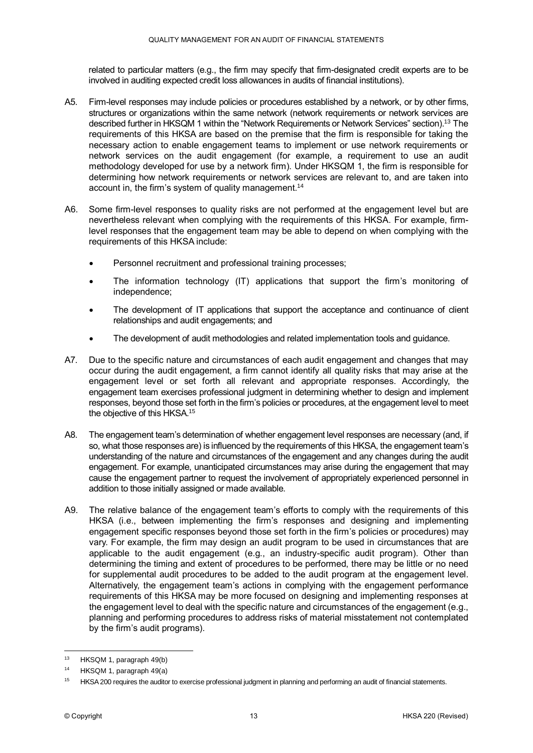related to particular matters (e.g., the firm may specify that firm-designated credit experts are to be involved in auditing expected credit loss allowances in audits of financial institutions).

- A5. Firm-level responses may include policies or procedures established by a network, or by other firms, structures or organizations within the same network (network requirements or network services are described further in HKSQM 1 within the "Network Requirements or Network Services" section).<sup>13</sup> The requirements of this HKSA are based on the premise that the firm is responsible for taking the necessary action to enable engagement teams to implement or use network requirements or network services on the audit engagement (for example, a requirement to use an audit methodology developed for use by a network firm). Under HKSQM 1, the firm is responsible for determining how network requirements or network services are relevant to, and are taken into account in, the firm's system of quality management.<sup>14</sup>
- A6. Some firm-level responses to quality risks are not performed at the engagement level but are nevertheless relevant when complying with the requirements of this HKSA. For example, firmlevel responses that the engagement team may be able to depend on when complying with the requirements of this HKSA include:
	- Personnel recruitment and professional training processes;
	- The information technology (IT) applications that support the firm's monitoring of independence;
	- The development of IT applications that support the acceptance and continuance of client relationships and audit engagements; and
	- The development of audit methodologies and related implementation tools and guidance.
- A7. Due to the specific nature and circumstances of each audit engagement and changes that may occur during the audit engagement, a firm cannot identify all quality risks that may arise at the engagement level or set forth all relevant and appropriate responses. Accordingly, the engagement team exercises professional judgment in determining whether to design and implement responses, beyond those set forth in the firm's policies or procedures, at the engagement level to meet the objective of this HKSA.<sup>15</sup>
- A8. The engagement team's determination of whether engagement level responses are necessary (and, if so, what those responses are) is influenced by the requirements of this HKSA, the engagement team's understanding of the nature and circumstances of the engagement and any changes during the audit engagement. For example, unanticipated circumstances may arise during the engagement that may cause the engagement partner to request the involvement of appropriately experienced personnel in addition to those initially assigned or made available.
- A9. The relative balance of the engagement team's efforts to comply with the requirements of this HKSA (i.e., between implementing the firm's responses and designing and implementing engagement specific responses beyond those set forth in the firm's policies or procedures) may vary. For example, the firm may design an audit program to be used in circumstances that are applicable to the audit engagement (e.g., an industry-specific audit program). Other than determining the timing and extent of procedures to be performed, there may be little or no need for supplemental audit procedures to be added to the audit program at the engagement level. Alternatively, the engagement team's actions in complying with the engagement performance requirements of this HKSA may be more focused on designing and implementing responses at the engagement level to deal with the specific nature and circumstances of the engagement (e.g., planning and performing procedures to address risks of material misstatement not contemplated by the firm's audit programs).

1

<sup>&</sup>lt;sup>13</sup> HKSQM 1, paragraph 49(b)

<sup>14</sup> HKSQM 1, paragraph 49(a)

<sup>&</sup>lt;sup>15</sup> HKSA 200 requires the auditor to exercise professional judgment in planning and performing an audit of financial statements.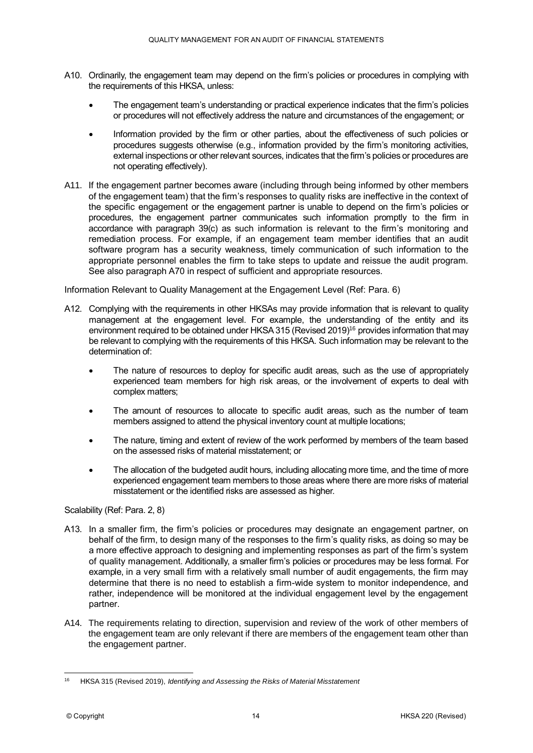- A10. Ordinarily, the engagement team may depend on the firm's policies or procedures in complying with the requirements of this HKSA, unless:
	- The engagement team's understanding or practical experience indicates that the firm's policies or procedures will not effectively address the nature and circumstances of the engagement; or
	- Information provided by the firm or other parties, about the effectiveness of such policies or procedures suggests otherwise (e.g., information provided by the firm's monitoring activities, external inspections or other relevant sources, indicates that the firm's policies or procedures are not operating effectively).
- A11. If the engagement partner becomes aware (including through being informed by other members of the engagement team) that the firm's responses to quality risks are ineffective in the context of the specific engagement or the engagement partner is unable to depend on the firm's policies or procedures, the engagement partner communicates such information promptly to the firm in accordance with paragraph 39(c) as such information is relevant to the firm's monitoring and remediation process. For example, if an engagement team member identifies that an audit software program has a security weakness, timely communication of such information to the appropriate personnel enables the firm to take steps to update and reissue the audit program. See also paragraph A70 in respect of sufficient and appropriate resources.

Information Relevant to Quality Management at the Engagement Level (Ref: Para. 6)

- A12. Complying with the requirements in other HKSAs may provide information that is relevant to quality management at the engagement level. For example, the understanding of the entity and its environment required to be obtained under HKSA 315 (Revised 2019)<sup>16</sup> provides information that may be relevant to complying with the requirements of this HKSA. Such information may be relevant to the determination of:
	- The nature of resources to deploy for specific audit areas, such as the use of appropriately experienced team members for high risk areas, or the involvement of experts to deal with complex matters;
	- The amount of resources to allocate to specific audit areas, such as the number of team members assigned to attend the physical inventory count at multiple locations;
	- The nature, timing and extent of review of the work performed by members of the team based on the assessed risks of material misstatement; or
	- The allocation of the budgeted audit hours, including allocating more time, and the time of more experienced engagement team members to those areas where there are more risks of material misstatement or the identified risks are assessed as higher.

#### Scalability (Ref: Para. 2, 8)

- A13. In a smaller firm, the firm's policies or procedures may designate an engagement partner, on behalf of the firm, to design many of the responses to the firm's quality risks, as doing so may be a more effective approach to designing and implementing responses as part of the firm's system of quality management. Additionally, a smaller firm's policies or procedures may be less formal. For example, in a very small firm with a relatively small number of audit engagements, the firm may determine that there is no need to establish a firm-wide system to monitor independence, and rather, independence will be monitored at the individual engagement level by the engagement partner.
- A14. The requirements relating to direction, supervision and review of the work of other members of the engagement team are only relevant if there are members of the engagement team other than the engagement partner.

<sup>&</sup>lt;u>.</u> <sup>16</sup> HKSA 315 (Revised 2019), *Identifying and Assessing the Risks of Material Misstatement*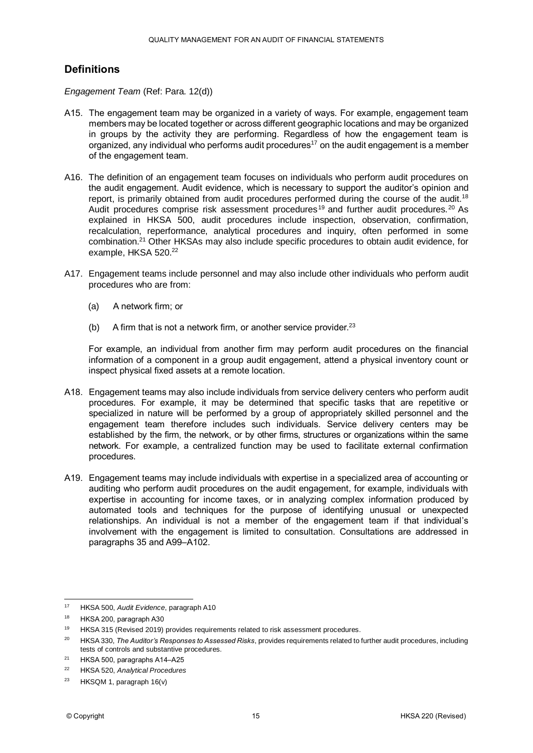# **Definitions**

*Engagement Team* (Ref: Para. 12(d))

- A15. The engagement team may be organized in a variety of ways. For example, engagement team members may be located together or across different geographic locations and may be organized in groups by the activity they are performing. Regardless of how the engagement team is organized, any individual who performs audit procedures<sup>17</sup> on the audit engagement is a member of the engagement team.
- A16. The definition of an engagement team focuses on individuals who perform audit procedures on the audit engagement. Audit evidence, which is necessary to support the auditor's opinion and report, is primarily obtained from audit procedures performed during the course of the audit.<sup>18</sup> Audit procedures comprise risk assessment procedures<sup>19</sup> and further audit procedures.<sup>20</sup> As explained in HKSA 500, audit procedures include inspection, observation, confirmation, recalculation, reperformance, analytical procedures and inquiry, often performed in some combination.<sup>21</sup> Other HKSAs may also include specific procedures to obtain audit evidence, for example, HKSA 520.<sup>22</sup>
- A17. Engagement teams include personnel and may also include other individuals who perform audit procedures who are from:
	- (a) A network firm; or
	- (b) A firm that is not a network firm, or another service provider. $23$

For example, an individual from another firm may perform audit procedures on the financial information of a component in a group audit engagement, attend a physical inventory count or inspect physical fixed assets at a remote location.

- A18. Engagement teams may also include individuals from service delivery centers who perform audit procedures. For example, it may be determined that specific tasks that are repetitive or specialized in nature will be performed by a group of appropriately skilled personnel and the engagement team therefore includes such individuals. Service delivery centers may be established by the firm, the network, or by other firms, structures or organizations within the same network. For example, a centralized function may be used to facilitate external confirmation procedures.
- A19. Engagement teams may include individuals with expertise in a specialized area of accounting or auditing who perform audit procedures on the audit engagement, for example, individuals with expertise in accounting for income taxes, or in analyzing complex information produced by automated tools and techniques for the purpose of identifying unusual or unexpected relationships. An individual is not a member of the engagement team if that individual's involvement with the engagement is limited to consultation. Consultations are addressed in paragraphs 35 and A99–A102.

<sup>17</sup> <sup>17</sup> HKSA 500, *Audit Evidence*, paragraph A10

<sup>18</sup> HKSA 200, paragraph A30

<sup>&</sup>lt;sup>19</sup> HKSA 315 (Revised 2019) provides requirements related to risk assessment procedures.

<sup>20</sup> HKSA 330, *The Auditor's Responses to Assessed Risks*, provides requirements related to further audit procedures, including tests of controls and substantive procedures.

<sup>&</sup>lt;sup>21</sup> HKSA 500, paragraphs A14-A25

<sup>22</sup> HKSA 520, *Analytical Procedures*

<sup>23</sup> HKSQM 1, paragraph 16(v)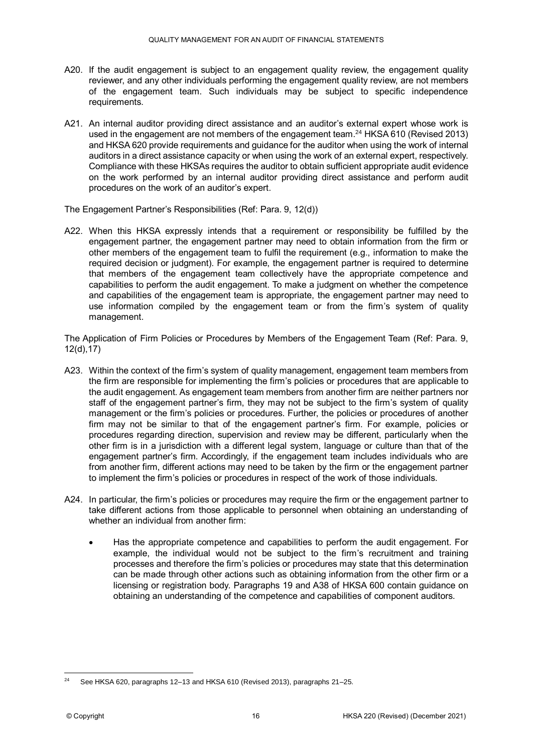- A20. If the audit engagement is subject to an engagement quality review, the engagement quality reviewer, and any other individuals performing the engagement quality review, are not members of the engagement team. Such individuals may be subject to specific independence requirements.
- A21. An internal auditor providing direct assistance and an auditor's external expert whose work is used in the engagement are not members of the engagement team.<sup>24</sup> HKSA 610 (Revised 2013) and HKSA 620 provide requirements and guidance for the auditor when using the work of internal auditors in a direct assistance capacity or when using the work of an external expert, respectively. Compliance with these HKSAs requires the auditor to obtain sufficient appropriate audit evidence on the work performed by an internal auditor providing direct assistance and perform audit procedures on the work of an auditor's expert.

The Engagement Partner's Responsibilities (Ref: Para. 9, 12(d))

A22. When this HKSA expressly intends that a requirement or responsibility be fulfilled by the engagement partner, the engagement partner may need to obtain information from the firm or other members of the engagement team to fulfil the requirement (e.g., information to make the required decision or judgment). For example, the engagement partner is required to determine that members of the engagement team collectively have the appropriate competence and capabilities to perform the audit engagement. To make a judgment on whether the competence and capabilities of the engagement team is appropriate, the engagement partner may need to use information compiled by the engagement team or from the firm's system of quality management.

The Application of Firm Policies or Procedures by Members of the Engagement Team (Ref: Para. 9, 12(d),17)

- A23. Within the context of the firm's system of quality management, engagement team members from the firm are responsible for implementing the firm's policies or procedures that are applicable to the audit engagement. As engagement team members from another firm are neither partners nor staff of the engagement partner's firm, they may not be subject to the firm's system of quality management or the firm's policies or procedures. Further, the policies or procedures of another firm may not be similar to that of the engagement partner's firm. For example, policies or procedures regarding direction, supervision and review may be different, particularly when the other firm is in a jurisdiction with a different legal system, language or culture than that of the engagement partner's firm. Accordingly, if the engagement team includes individuals who are from another firm, different actions may need to be taken by the firm or the engagement partner to implement the firm's policies or procedures in respect of the work of those individuals.
- A24. In particular, the firm's policies or procedures may require the firm or the engagement partner to take different actions from those applicable to personnel when obtaining an understanding of whether an individual from another firm:
	- Has the appropriate competence and capabilities to perform the audit engagement. For example, the individual would not be subject to the firm's recruitment and training processes and therefore the firm's policies or procedures may state that this determination can be made through other actions such as obtaining information from the other firm or a licensing or registration body. Paragraphs 19 and A38 of HKSA 600 contain guidance on obtaining an understanding of the competence and capabilities of component auditors.

<sup>&</sup>lt;u>.</u> <sup>24</sup> See HKSA 620, paragraphs 12–13 and HKSA 610 (Revised 2013), paragraphs 21–25.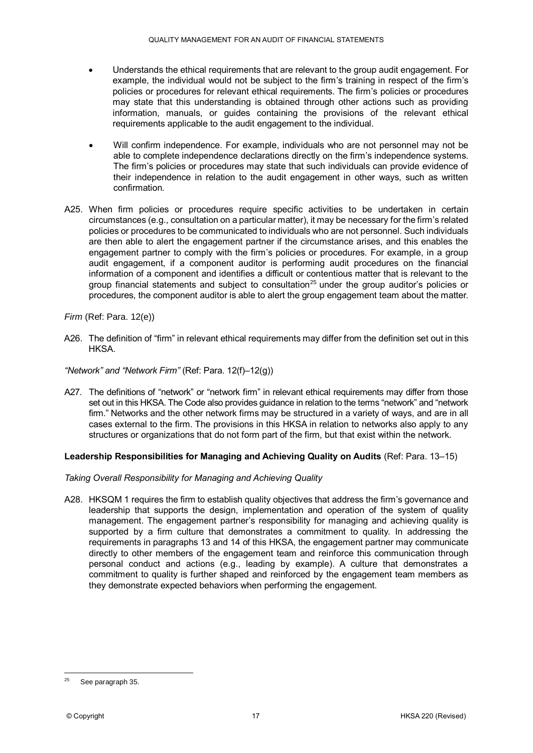- Understands the ethical requirements that are relevant to the group audit engagement. For example, the individual would not be subject to the firm's training in respect of the firm's policies or procedures for relevant ethical requirements. The firm's policies or procedures may state that this understanding is obtained through other actions such as providing information, manuals, or guides containing the provisions of the relevant ethical requirements applicable to the audit engagement to the individual.
- Will confirm independence. For example, individuals who are not personnel may not be able to complete independence declarations directly on the firm's independence systems. The firm's policies or procedures may state that such individuals can provide evidence of their independence in relation to the audit engagement in other ways, such as written confirmation.
- A25. When firm policies or procedures require specific activities to be undertaken in certain circumstances (e.g., consultation on a particular matter), it may be necessary for the firm's related policies or procedures to be communicated to individuals who are not personnel. Such individuals are then able to alert the engagement partner if the circumstance arises, and this enables the engagement partner to comply with the firm's policies or procedures. For example, in a group audit engagement, if a component auditor is performing audit procedures on the financial information of a component and identifies a difficult or contentious matter that is relevant to the group financial statements and subject to consultation<sup>25</sup> under the group auditor's policies or procedures, the component auditor is able to alert the group engagement team about the matter.

*Firm* (Ref: Para. 12(e))

A26. The definition of "firm" in relevant ethical requirements may differ from the definition set out in this HKSA.

*"Network" and "Network Firm"* (Ref: Para. 12(f)–12(g))

A27. The definitions of "network" or "network firm" in relevant ethical requirements may differ from those set out in this HKSA. The Code also provides guidance in relation to the terms "network" and "network firm." Networks and the other network firms may be structured in a variety of ways, and are in all cases external to the firm. The provisions in this HKSA in relation to networks also apply to any structures or organizations that do not form part of the firm, but that exist within the network.

#### **Leadership Responsibilities for Managing and Achieving Quality on Audits** (Ref: Para. 13–15)

*Taking Overall Responsibility for Managing and Achieving Quality*

A28. HKSQM 1 requires the firm to establish quality objectives that address the firm's governance and leadership that supports the design, implementation and operation of the system of quality management. The engagement partner's responsibility for managing and achieving quality is supported by a firm culture that demonstrates a commitment to quality. In addressing the requirements in paragraphs 13 and 14 of this HKSA, the engagement partner may communicate directly to other members of the engagement team and reinforce this communication through personal conduct and actions (e.g., leading by example). A culture that demonstrates a commitment to quality is further shaped and reinforced by the engagement team members as they demonstrate expected behaviors when performing the engagement.

<sup>25</sup> See paragraph 35.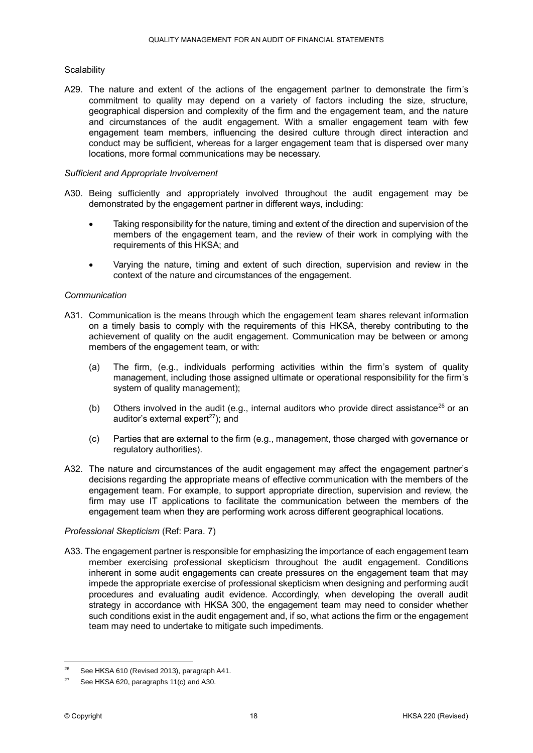#### **Scalability**

A29. The nature and extent of the actions of the engagement partner to demonstrate the firm's commitment to quality may depend on a variety of factors including the size, structure, geographical dispersion and complexity of the firm and the engagement team, and the nature and circumstances of the audit engagement. With a smaller engagement team with few engagement team members, influencing the desired culture through direct interaction and conduct may be sufficient, whereas for a larger engagement team that is dispersed over many locations, more formal communications may be necessary.

#### *Sufficient and Appropriate Involvement*

- A30. Being sufficiently and appropriately involved throughout the audit engagement may be demonstrated by the engagement partner in different ways, including:
	- Taking responsibility for the nature, timing and extent of the direction and supervision of the members of the engagement team, and the review of their work in complying with the requirements of this HKSA; and
	- Varying the nature, timing and extent of such direction, supervision and review in the context of the nature and circumstances of the engagement.

#### *Communication*

- A31. Communication is the means through which the engagement team shares relevant information on a timely basis to comply with the requirements of this HKSA, thereby contributing to the achievement of quality on the audit engagement. Communication may be between or among members of the engagement team, or with:
	- (a) The firm, (e.g., individuals performing activities within the firm's system of quality management, including those assigned ultimate or operational responsibility for the firm's system of quality management);
	- (b) Others involved in the audit (e.g., internal auditors who provide direct assistance<sup>26</sup> or an auditor's external expert $^{27}$ ); and
	- (c) Parties that are external to the firm (e.g., management, those charged with governance or regulatory authorities).
- A32. The nature and circumstances of the audit engagement may affect the engagement partner's decisions regarding the appropriate means of effective communication with the members of the engagement team. For example, to support appropriate direction, supervision and review, the firm may use IT applications to facilitate the communication between the members of the engagement team when they are performing work across different geographical locations.

#### *Professional Skepticism* (Ref: Para. 7)

A33. The engagement partner is responsible for emphasizing the importance of each engagement team member exercising professional skepticism throughout the audit engagement. Conditions inherent in some audit engagements can create pressures on the engagement team that may impede the appropriate exercise of professional skepticism when designing and performing audit procedures and evaluating audit evidence. Accordingly, when developing the overall audit strategy in accordance with HKSA 300, the engagement team may need to consider whether such conditions exist in the audit engagement and, if so, what actions the firm or the engagement team may need to undertake to mitigate such impediments.

<sup>26</sup> See HKSA 610 (Revised 2013), paragraph A41.

<sup>&</sup>lt;sup>27</sup> See HKSA 620, paragraphs  $11(c)$  and A30.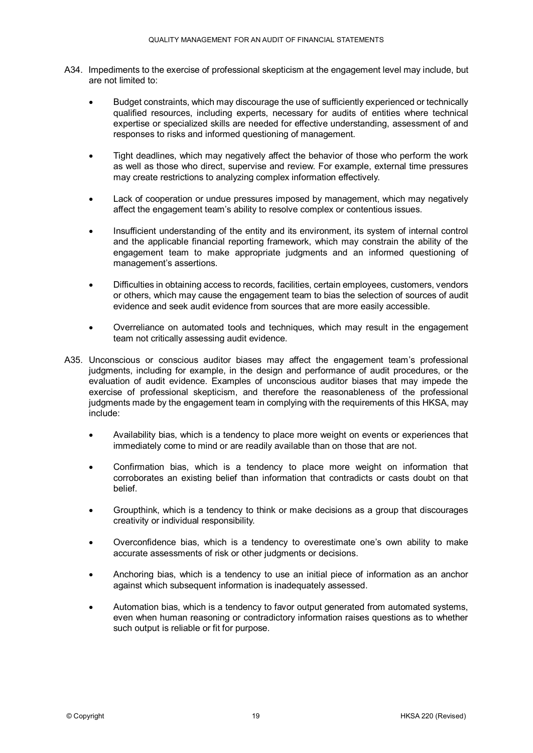- A34. Impediments to the exercise of professional skepticism at the engagement level may include, but are not limited to:
	- Budget constraints, which may discourage the use of sufficiently experienced or technically qualified resources, including experts, necessary for audits of entities where technical expertise or specialized skills are needed for effective understanding, assessment of and responses to risks and informed questioning of management.
	- Tight deadlines, which may negatively affect the behavior of those who perform the work as well as those who direct, supervise and review. For example, external time pressures may create restrictions to analyzing complex information effectively.
	- Lack of cooperation or undue pressures imposed by management, which may negatively affect the engagement team's ability to resolve complex or contentious issues.
	- Insufficient understanding of the entity and its environment, its system of internal control and the applicable financial reporting framework, which may constrain the ability of the engagement team to make appropriate judgments and an informed questioning of management's assertions.
	- Difficulties in obtaining access to records, facilities, certain employees, customers, vendors or others, which may cause the engagement team to bias the selection of sources of audit evidence and seek audit evidence from sources that are more easily accessible.
	- Overreliance on automated tools and techniques, which may result in the engagement team not critically assessing audit evidence.
- A35. Unconscious or conscious auditor biases may affect the engagement team's professional judgments, including for example, in the design and performance of audit procedures, or the evaluation of audit evidence. Examples of unconscious auditor biases that may impede the exercise of professional skepticism, and therefore the reasonableness of the professional judgments made by the engagement team in complying with the requirements of this HKSA, may include:
	- Availability bias, which is a tendency to place more weight on events or experiences that immediately come to mind or are readily available than on those that are not.
	- Confirmation bias, which is a tendency to place more weight on information that corroborates an existing belief than information that contradicts or casts doubt on that belief.
	- Groupthink, which is a tendency to think or make decisions as a group that discourages creativity or individual responsibility.
	- Overconfidence bias, which is a tendency to overestimate one's own ability to make accurate assessments of risk or other judgments or decisions.
	- Anchoring bias, which is a tendency to use an initial piece of information as an anchor against which subsequent information is inadequately assessed.
	- Automation bias, which is a tendency to favor output generated from automated systems, even when human reasoning or contradictory information raises questions as to whether such output is reliable or fit for purpose.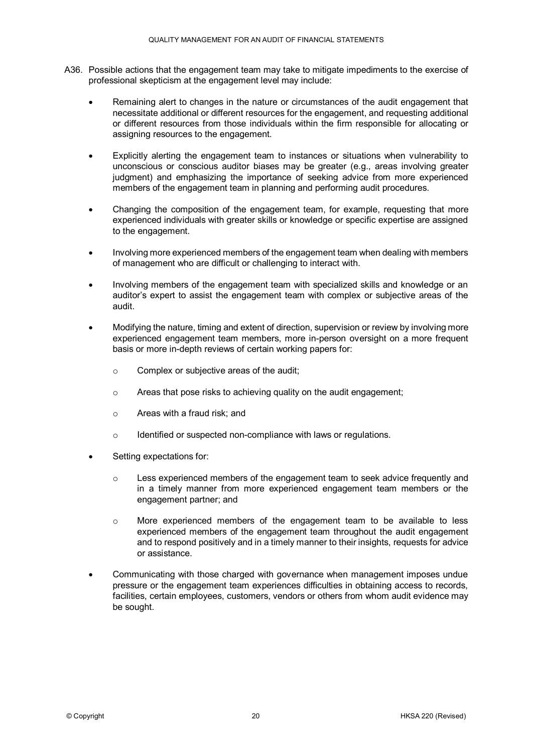- A36. Possible actions that the engagement team may take to mitigate impediments to the exercise of professional skepticism at the engagement level may include:
	- Remaining alert to changes in the nature or circumstances of the audit engagement that necessitate additional or different resources for the engagement, and requesting additional or different resources from those individuals within the firm responsible for allocating or assigning resources to the engagement.
	- Explicitly alerting the engagement team to instances or situations when vulnerability to unconscious or conscious auditor biases may be greater (e.g., areas involving greater judgment) and emphasizing the importance of seeking advice from more experienced members of the engagement team in planning and performing audit procedures.
	- Changing the composition of the engagement team, for example, requesting that more experienced individuals with greater skills or knowledge or specific expertise are assigned to the engagement.
	- Involving more experienced members of the engagement team when dealing with members of management who are difficult or challenging to interact with.
	- Involving members of the engagement team with specialized skills and knowledge or an auditor's expert to assist the engagement team with complex or subjective areas of the audit.
	- Modifying the nature, timing and extent of direction, supervision or review by involving more experienced engagement team members, more in-person oversight on a more frequent basis or more in-depth reviews of certain working papers for:
		- o Complex or subjective areas of the audit;
		- o Areas that pose risks to achieving quality on the audit engagement;
		- o Areas with a fraud risk; and
		- o Identified or suspected non-compliance with laws or regulations.
	- Setting expectations for:
		- $\circ$  Less experienced members of the engagement team to seek advice frequently and in a timely manner from more experienced engagement team members or the engagement partner; and
		- o More experienced members of the engagement team to be available to less experienced members of the engagement team throughout the audit engagement and to respond positively and in a timely manner to their insights, requests for advice or assistance.
	- Communicating with those charged with governance when management imposes undue pressure or the engagement team experiences difficulties in obtaining access to records, facilities, certain employees, customers, vendors or others from whom audit evidence may be sought.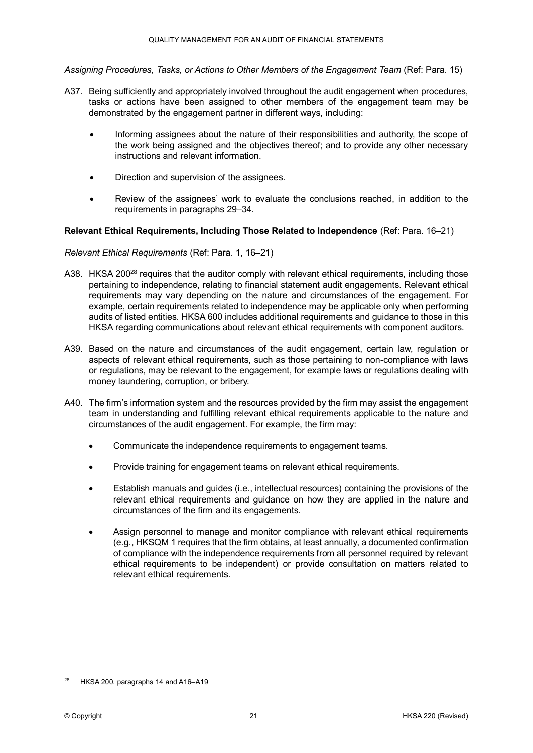*Assigning Procedures, Tasks, or Actions to Other Members of the Engagement Team* (Ref: Para. 15)

- A37. Being sufficiently and appropriately involved throughout the audit engagement when procedures, tasks or actions have been assigned to other members of the engagement team may be demonstrated by the engagement partner in different ways, including:
	- Informing assignees about the nature of their responsibilities and authority, the scope of the work being assigned and the objectives thereof; and to provide any other necessary instructions and relevant information.
	- Direction and supervision of the assignees.
	- Review of the assignees' work to evaluate the conclusions reached, in addition to the requirements in paragraphs 29–34.

#### **Relevant Ethical Requirements, Including Those Related to Independence** (Ref: Para. 16–21)

#### *Relevant Ethical Requirements* (Ref: Para. 1, 16–21)

- A38. HKSA 200<sup>28</sup> requires that the auditor comply with relevant ethical requirements, including those pertaining to independence, relating to financial statement audit engagements. Relevant ethical requirements may vary depending on the nature and circumstances of the engagement. For example, certain requirements related to independence may be applicable only when performing audits of listed entities. HKSA 600 includes additional requirements and guidance to those in this HKSA regarding communications about relevant ethical requirements with component auditors.
- A39. Based on the nature and circumstances of the audit engagement, certain law, regulation or aspects of relevant ethical requirements, such as those pertaining to non-compliance with laws or regulations, may be relevant to the engagement, for example laws or regulations dealing with money laundering, corruption, or bribery.
- A40. The firm's information system and the resources provided by the firm may assist the engagement team in understanding and fulfilling relevant ethical requirements applicable to the nature and circumstances of the audit engagement. For example, the firm may:
	- Communicate the independence requirements to engagement teams.
	- Provide training for engagement teams on relevant ethical requirements.
	- Establish manuals and guides (i.e., intellectual resources) containing the provisions of the relevant ethical requirements and guidance on how they are applied in the nature and circumstances of the firm and its engagements.
	- Assign personnel to manage and monitor compliance with relevant ethical requirements (e.g., HKSQM 1 requires that the firm obtains, at least annually, a documented confirmation of compliance with the independence requirements from all personnel required by relevant ethical requirements to be independent) or provide consultation on matters related to relevant ethical requirements.

<sup>&</sup>lt;u>.</u> HKSA 200, paragraphs 14 and A16-A19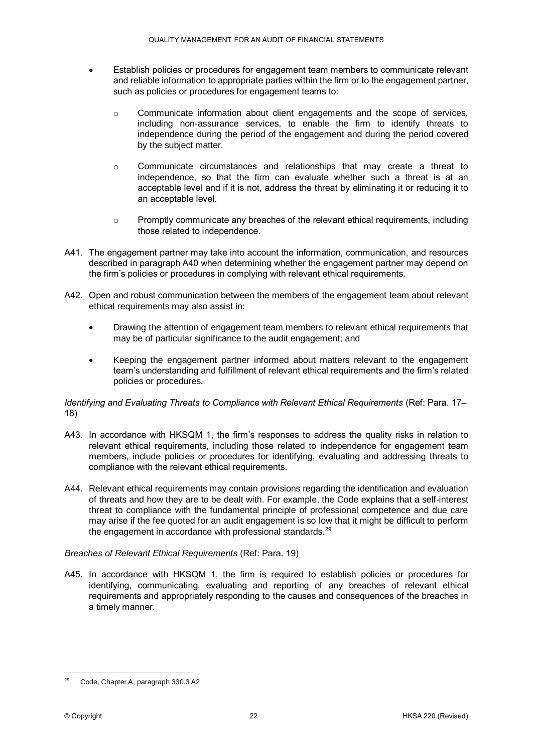- Establish policies or procedures for engagement team members to communicate relevant and reliable information to appropriate parties within the firm or to the engagement partner, such as policies or procedures for engagement teams to:
	- $\circ$  Communicate information about client engagements and the scope of services, including non-assurance services, to enable the firm to identify threats to independence during the period of the engagement and during the period covered by the subject matter.
	- o Communicate circumstances and relationships that may create a threat to independence, so that the firm can evaluate whether such a threat is at an acceptable level and if it is not, address the threat by eliminating it or reducing it to an acceptable level.
	- o Promptly communicate any breaches of the relevant ethical requirements, including those related to independence.
- A41. The engagement partner may take into account the information, communication, and resources described in paragraph A40 when determining whether the engagement partner may depend on the firm's policies or procedures in complying with relevant ethical requirements.
- A42. Open and robust communication between the members of the engagement team about relevant ethical requirements may also assist in:
	- Drawing the attention of engagement team members to relevant ethical requirements that may be of particular significance to the audit engagement; and
	- Keeping the engagement partner informed about matters relevant to the engagement team's understanding and fulfillment of relevant ethical requirements and the firm's related policies or procedures.

#### *Identifying and Evaluating Threats to Compliance with Relevant Ethical Requirements* (Ref: Para. 17– 18)

- A43. In accordance with HKSQM 1, the firm's responses to address the quality risks in relation to relevant ethical requirements, including those related to independence for engagement team members, include policies or procedures for identifying, evaluating and addressing threats to compliance with the relevant ethical requirements.
- A44. Relevant ethical requirements may contain provisions regarding the identification and evaluation of threats and how they are to be dealt with. For example, the Code explains that a self-interest threat to compliance with the fundamental principle of professional competence and due care may arise if the fee quoted for an audit engagement is so low that it might be difficult to perform the engagement in accordance with professional standards.<sup>29</sup>

#### *Breaches of Relevant Ethical Requirements* (Ref: Para. 19)

A45. In accordance with HKSQM 1, the firm is required to establish policies or procedures for identifying, communicating, evaluating and reporting of any breaches of relevant ethical requirements and appropriately responding to the causes and consequences of the breaches in a timely manner.

<sup>&</sup>lt;u>.</u> <sup>29</sup> Code, Chapter A, paragraph 330.3 A2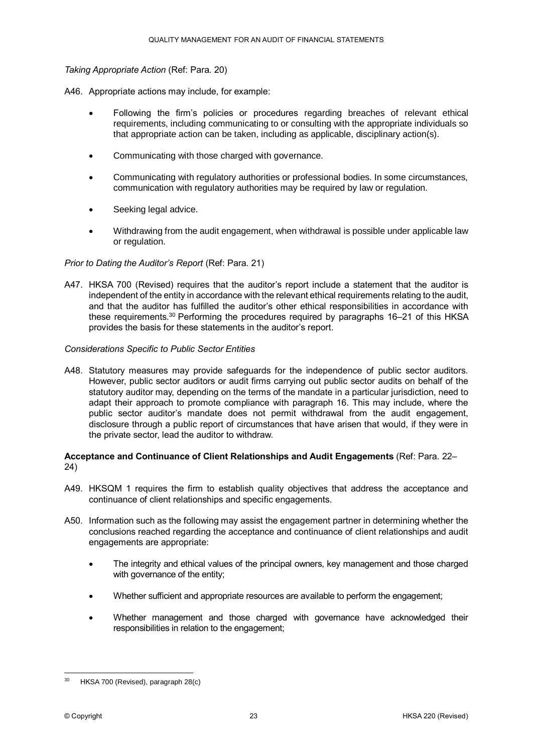#### *Taking Appropriate Action* (Ref: Para. 20)

- A46. Appropriate actions may include, for example:
	- Following the firm's policies or procedures regarding breaches of relevant ethical requirements, including communicating to or consulting with the appropriate individuals so that appropriate action can be taken, including as applicable, disciplinary action(s).
	- Communicating with those charged with governance.
	- Communicating with regulatory authorities or professional bodies. In some circumstances, communication with regulatory authorities may be required by law or regulation.
	- Seeking legal advice.
	- Withdrawing from the audit engagement, when withdrawal is possible under applicable law or regulation.

#### *Prior to Dating the Auditor's Report* (Ref: Para. 21)

A47. HKSA 700 (Revised) requires that the auditor's report include a statement that the auditor is independent of the entity in accordance with the relevant ethical requirements relating to the audit, and that the auditor has fulfilled the auditor's other ethical responsibilities in accordance with these requirements.<sup>30</sup> Performing the procedures required by paragraphs 16–21 of this HKSA provides the basis for these statements in the auditor's report.

#### *Considerations Specific to Public Sector Entities*

A48. Statutory measures may provide safeguards for the independence of public sector auditors. However, public sector auditors or audit firms carrying out public sector audits on behalf of the statutory auditor may, depending on the terms of the mandate in a particular jurisdiction, need to adapt their approach to promote compliance with paragraph 16. This may include, where the public sector auditor's mandate does not permit withdrawal from the audit engagement, disclosure through a public report of circumstances that have arisen that would, if they were in the private sector, lead the auditor to withdraw.

#### **Acceptance and Continuance of Client Relationships and Audit Engagements** (Ref: Para. 22– 24)

- A49. HKSQM 1 requires the firm to establish quality objectives that address the acceptance and continuance of client relationships and specific engagements.
- A50. Information such as the following may assist the engagement partner in determining whether the conclusions reached regarding the acceptance and continuance of client relationships and audit engagements are appropriate:
	- The integrity and ethical values of the principal owners, key management and those charged with governance of the entity;
	- Whether sufficient and appropriate resources are available to perform the engagement;
	- Whether management and those charged with governance have acknowledged their responsibilities in relation to the engagement;

<sup>&</sup>lt;u>.</u> HKSA 700 (Revised), paragraph 28(c)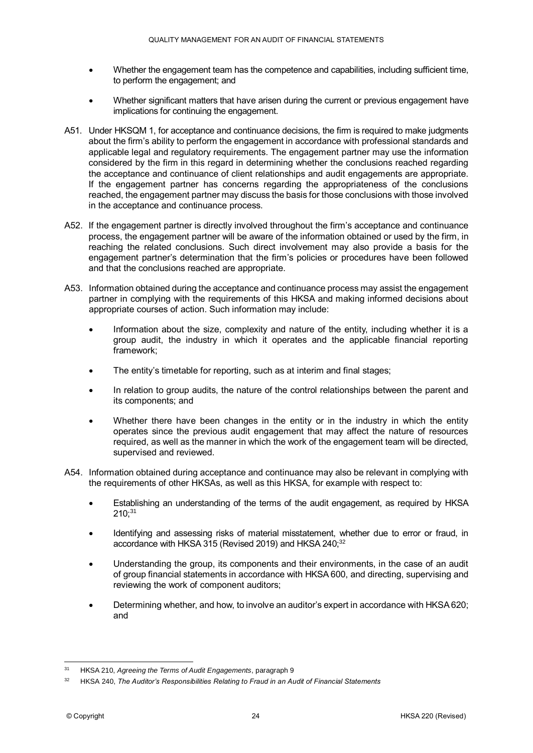- Whether the engagement team has the competence and capabilities, including sufficient time, to perform the engagement; and
- Whether significant matters that have arisen during the current or previous engagement have implications for continuing the engagement.
- A51. Under HKSQM 1, for acceptance and continuance decisions, the firm is required to make judgments about the firm's ability to perform the engagement in accordance with professional standards and applicable legal and regulatory requirements. The engagement partner may use the information considered by the firm in this regard in determining whether the conclusions reached regarding the acceptance and continuance of client relationships and audit engagements are appropriate. If the engagement partner has concerns regarding the appropriateness of the conclusions reached, the engagement partner may discuss the basis for those conclusions with those involved in the acceptance and continuance process.
- A52. If the engagement partner is directly involved throughout the firm's acceptance and continuance process, the engagement partner will be aware of the information obtained or used by the firm, in reaching the related conclusions. Such direct involvement may also provide a basis for the engagement partner's determination that the firm's policies or procedures have been followed and that the conclusions reached are appropriate.
- A53. Information obtained during the acceptance and continuance process may assist the engagement partner in complying with the requirements of this HKSA and making informed decisions about appropriate courses of action. Such information may include:
	- Information about the size, complexity and nature of the entity, including whether it is a group audit, the industry in which it operates and the applicable financial reporting framework;
	- The entity's timetable for reporting, such as at interim and final stages;
	- In relation to group audits, the nature of the control relationships between the parent and its components; and
	- Whether there have been changes in the entity or in the industry in which the entity operates since the previous audit engagement that may affect the nature of resources required, as well as the manner in which the work of the engagement team will be directed, supervised and reviewed.
- A54. Information obtained during acceptance and continuance may also be relevant in complying with the requirements of other HKSAs, as well as this HKSA, for example with respect to:
	- Establishing an understanding of the terms of the audit engagement, as required by HKSA  $210:31$
	- Identifying and assessing risks of material misstatement, whether due to error or fraud, in accordance with HKSA 315 (Revised 2019) and HKSA 240;<sup>32</sup>
	- Understanding the group, its components and their environments, in the case of an audit of group financial statements in accordance with HKSA 600, and directing, supervising and reviewing the work of component auditors;
	- Determining whether, and how, to involve an auditor's expert in accordance with HKSA 620; and

 $31$ <sup>31</sup> HKSA 210, *Agreeing the Terms of Audit Engagements*, paragraph 9

<sup>32</sup> HKSA 240, *The Auditor's Responsibilities Relating to Fraud in an Audit of Financial Statements*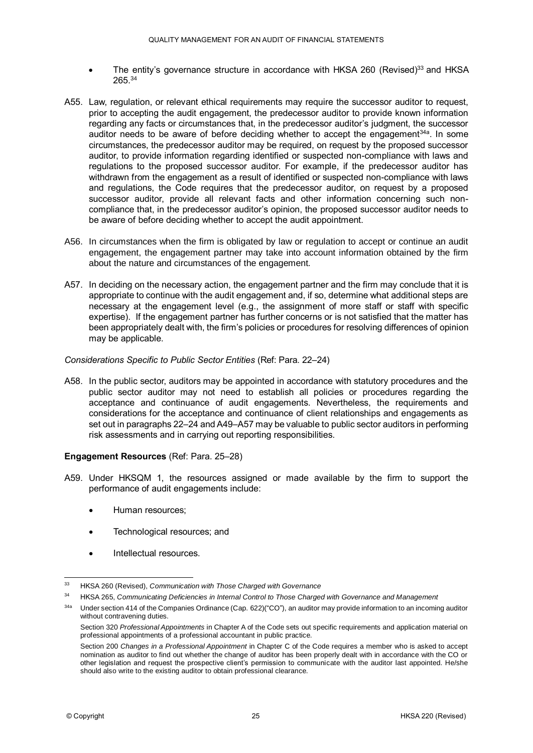- The entity's governance structure in accordance with HKSA 260 (Revised) $33$  and HKSA 265.<sup>34</sup>
- A55. Law, regulation, or relevant ethical requirements may require the successor auditor to request, prior to accepting the audit engagement, the predecessor auditor to provide known information regarding any facts or circumstances that, in the predecessor auditor's judgment, the successor auditor needs to be aware of before deciding whether to accept the engagement<sup>34a</sup>. In some circumstances, the predecessor auditor may be required, on request by the proposed successor auditor, to provide information regarding identified or suspected non-compliance with laws and regulations to the proposed successor auditor. For example, if the predecessor auditor has withdrawn from the engagement as a result of identified or suspected non-compliance with laws and regulations, the Code requires that the predecessor auditor, on request by a proposed successor auditor, provide all relevant facts and other information concerning such noncompliance that, in the predecessor auditor's opinion, the proposed successor auditor needs to be aware of before deciding whether to accept the audit appointment.
- A56. In circumstances when the firm is obligated by law or regulation to accept or continue an audit engagement, the engagement partner may take into account information obtained by the firm about the nature and circumstances of the engagement.
- A57. In deciding on the necessary action, the engagement partner and the firm may conclude that it is appropriate to continue with the audit engagement and, if so, determine what additional steps are necessary at the engagement level (e.g., the assignment of more staff or staff with specific expertise). If the engagement partner has further concerns or is not satisfied that the matter has been appropriately dealt with, the firm's policies or procedures for resolving differences of opinion may be applicable.

#### *Considerations Specific to Public Sector Entities* (Ref: Para. 22–24)

A58. In the public sector, auditors may be appointed in accordance with statutory procedures and the public sector auditor may not need to establish all policies or procedures regarding the acceptance and continuance of audit engagements. Nevertheless, the requirements and considerations for the acceptance and continuance of client relationships and engagements as set out in paragraphs 22–24 and A49–A57 may be valuable to public sector auditors in performing risk assessments and in carrying out reporting responsibilities.

#### **Engagement Resources** (Ref: Para. 25–28)

- A59. Under HKSQM 1, the resources assigned or made available by the firm to support the performance of audit engagements include:
	- Human resources;
	- Technological resources; and
	- Intellectual resources.

 $33<sup>3</sup>$ <sup>33</sup> HKSA 260 (Revised), *Communication with Those Charged with Governance*

<sup>34</sup> HKSA 265, *Communicating Deficiencies in Internal Control to Those Charged with Governance and Management* 

<sup>34</sup>a Under section 414 of the Companies Ordinance (Cap. 622)("CO"), an auditor may provide information to an incoming auditor without contravening duties.

Section 320 *Professional Appointments* in Chapter A of the Code sets out specific requirements and application material on professional appointments of a professional accountant in public practice.

Section 200 *Changes in a Professional Appointment* in Chapter C of the Code requires a member who is asked to accept nomination as auditor to find out whether the change of auditor has been properly dealt with in accordance with the CO or other legislation and request the prospective client's permission to communicate with the auditor last appointed. He/she should also write to the existing auditor to obtain professional clearance.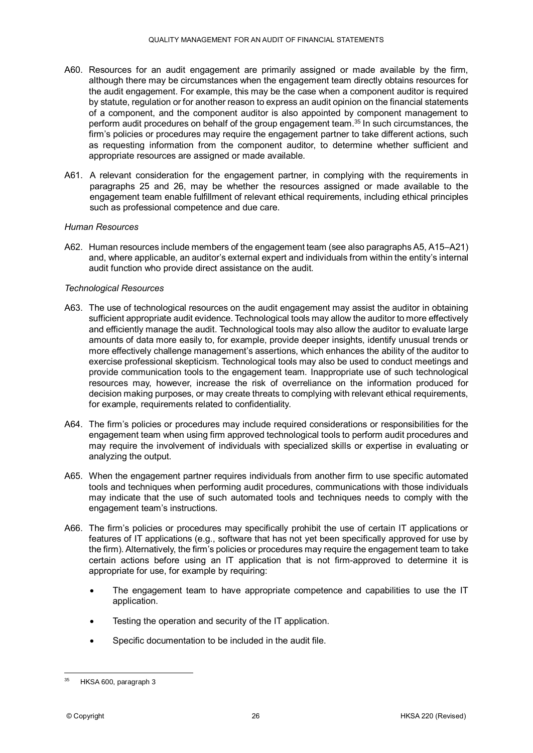- A60. Resources for an audit engagement are primarily assigned or made available by the firm, although there may be circumstances when the engagement team directly obtains resources for the audit engagement. For example, this may be the case when a component auditor is required by statute, regulation or for another reason to express an audit opinion on the financial statements of a component, and the component auditor is also appointed by component management to perform audit procedures on behalf of the group engagement team.<sup>35</sup> In such circumstances, the firm's policies or procedures may require the engagement partner to take different actions, such as requesting information from the component auditor, to determine whether sufficient and appropriate resources are assigned or made available.
- A61. A relevant consideration for the engagement partner, in complying with the requirements in paragraphs 25 and 26, may be whether the resources assigned or made available to the engagement team enable fulfillment of relevant ethical requirements, including ethical principles such as professional competence and due care.

#### *Human Resources*

A62. Human resources include members of the engagement team (see also paragraphs A5, A15–A21) and, where applicable, an auditor's external expert and individuals from within the entity's internal audit function who provide direct assistance on the audit.

#### *Technological Resources*

- A63. The use of technological resources on the audit engagement may assist the auditor in obtaining sufficient appropriate audit evidence. Technological tools may allow the auditor to more effectively and efficiently manage the audit. Technological tools may also allow the auditor to evaluate large amounts of data more easily to, for example, provide deeper insights, identify unusual trends or more effectively challenge management's assertions, which enhances the ability of the auditor to exercise professional skepticism. Technological tools may also be used to conduct meetings and provide communication tools to the engagement team. Inappropriate use of such technological resources may, however, increase the risk of overreliance on the information produced for decision making purposes, or may create threats to complying with relevant ethical requirements, for example, requirements related to confidentiality.
- A64. The firm's policies or procedures may include required considerations or responsibilities for the engagement team when using firm approved technological tools to perform audit procedures and may require the involvement of individuals with specialized skills or expertise in evaluating or analyzing the output.
- A65. When the engagement partner requires individuals from another firm to use specific automated tools and techniques when performing audit procedures, communications with those individuals may indicate that the use of such automated tools and techniques needs to comply with the engagement team's instructions.
- A66. The firm's policies or procedures may specifically prohibit the use of certain IT applications or features of IT applications (e.g., software that has not yet been specifically approved for use by the firm). Alternatively, the firm's policies or procedures may require the engagement team to take certain actions before using an IT application that is not firm-approved to determine it is appropriate for use, for example by requiring:
	- The engagement team to have appropriate competence and capabilities to use the IT application.
	- Testing the operation and security of the IT application.
	- Specific documentation to be included in the audit file.

<sup>&</sup>lt;u>.</u> HKSA 600, paragraph 3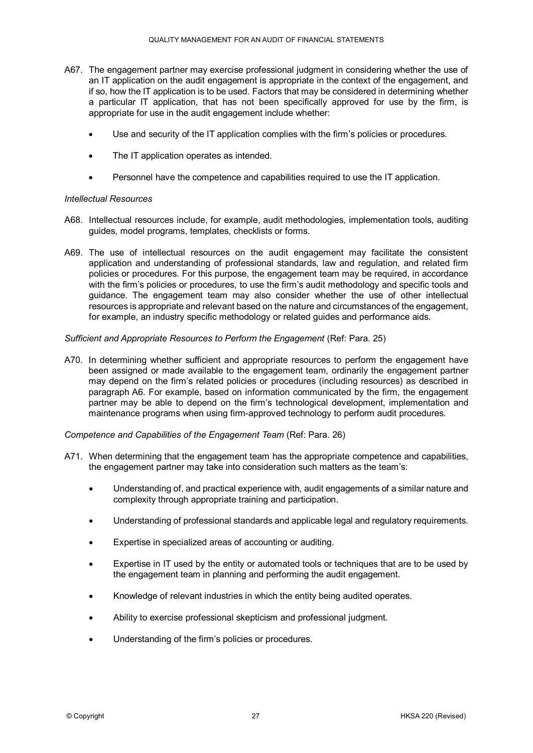- A67. The engagement partner may exercise professional judgment in considering whether the use of an IT application on the audit engagement is appropriate in the context of the engagement, and if so, how the IT application is to be used. Factors that may be considered in determining whether a particular IT application, that has not been specifically approved for use by the firm, is appropriate for use in the audit engagement include whether:
	- Use and security of the IT application complies with the firm's policies or procedures.
	- The IT application operates as intended.
	- Personnel have the competence and capabilities required to use the IT application.

#### *Intellectual Resources*

- A68. Intellectual resources include, for example, audit methodologies, implementation tools, auditing guides, model programs, templates, checklists or forms.
- A69. The use of intellectual resources on the audit engagement may facilitate the consistent application and understanding of professional standards, law and regulation, and related firm policies or procedures. For this purpose, the engagement team may be required, in accordance with the firm's policies or procedures, to use the firm's audit methodology and specific tools and guidance. The engagement team may also consider whether the use of other intellectual resources is appropriate and relevant based on the nature and circumstances of the engagement, for example, an industry specific methodology or related guides and performance aids.

#### *Sufficient and Appropriate Resources to Perform the Engagement* (Ref: Para. 25)

A70. In determining whether sufficient and appropriate resources to perform the engagement have been assigned or made available to the engagement team, ordinarily the engagement partner may depend on the firm's related policies or procedures (including resources) as described in paragraph A6. For example, based on information communicated by the firm, the engagement partner may be able to depend on the firm's technological development, implementation and maintenance programs when using firm-approved technology to perform audit procedures.

#### *Competence and Capabilities of the Engagement Team (Ref: Para. 26)*

- A71. When determining that the engagement team has the appropriate competence and capabilities, the engagement partner may take into consideration such matters as the team's:
	- Understanding of, and practical experience with, audit engagements of a similar nature and complexity through appropriate training and participation.
	- Understanding of professional standards and applicable legal and regulatory requirements.
	- Expertise in specialized areas of accounting or auditing.
	- Expertise in IT used by the entity or automated tools or techniques that are to be used by the engagement team in planning and performing the audit engagement.
	- Knowledge of relevant industries in which the entity being audited operates.
	- Ability to exercise professional skepticism and professional judgment.
	- Understanding of the firm's policies or procedures.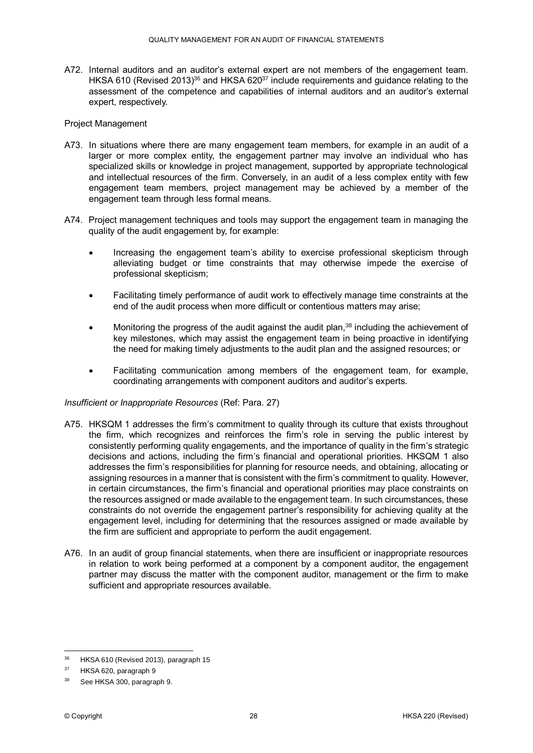A72. Internal auditors and an auditor's external expert are not members of the engagement team. HKSA 610 (Revised 2013)<sup>36</sup> and HKSA 620<sup>37</sup> include requirements and guidance relating to the assessment of the competence and capabilities of internal auditors and an auditor's external expert, respectively.

#### Project Management

- A73. In situations where there are many engagement team members, for example in an audit of a larger or more complex entity, the engagement partner may involve an individual who has specialized skills or knowledge in project management, supported by appropriate technological and intellectual resources of the firm. Conversely, in an audit of a less complex entity with few engagement team members, project management may be achieved by a member of the engagement team through less formal means.
- A74. Project management techniques and tools may support the engagement team in managing the quality of the audit engagement by, for example:
	- Increasing the engagement team's ability to exercise professional skepticism through alleviating budget or time constraints that may otherwise impede the exercise of professional skepticism;
	- Facilitating timely performance of audit work to effectively manage time constraints at the end of the audit process when more difficult or contentious matters may arise;
	- Monitoring the progress of the audit against the audit plan, $38$  including the achievement of key milestones, which may assist the engagement team in being proactive in identifying the need for making timely adjustments to the audit plan and the assigned resources; or
	- Facilitating communication among members of the engagement team, for example, coordinating arrangements with component auditors and auditor's experts.

#### *Insufficient or Inappropriate Resources* (Ref: Para. 27)

- A75. HKSQM 1 addresses the firm's commitment to quality through its culture that exists throughout the firm, which recognizes and reinforces the firm's role in serving the public interest by consistently performing quality engagements, and the importance of quality in the firm's strategic decisions and actions, including the firm's financial and operational priorities. HKSQM 1 also addresses the firm's responsibilities for planning for resource needs, and obtaining, allocating or assigning resources in a manner that is consistent with the firm's commitment to quality. However, in certain circumstances, the firm's financial and operational priorities may place constraints on the resources assigned or made available to the engagement team. In such circumstances, these constraints do not override the engagement partner's responsibility for achieving quality at the engagement level, including for determining that the resources assigned or made available by the firm are sufficient and appropriate to perform the audit engagement.
- A76. In an audit of group financial statements, when there are insufficient or inappropriate resources in relation to work being performed at a component by a component auditor, the engagement partner may discuss the matter with the component auditor, management or the firm to make sufficient and appropriate resources available.

<sup>36</sup> HKSA 610 (Revised 2013), paragraph 15

<sup>37</sup> HKSA 620, paragraph 9

See HKSA 300, paragraph 9.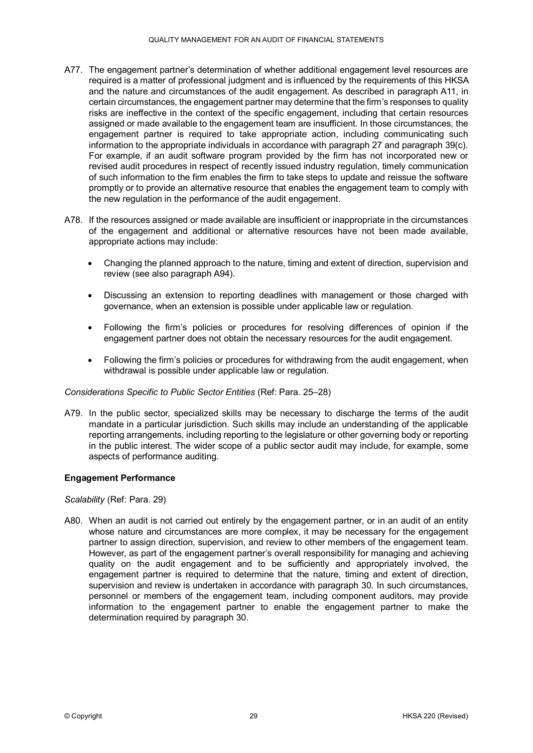- A77. The engagement partner's determination of whether additional engagement level resources are required is a matter of professional judgment and is influenced by the requirements of this HKSA and the nature and circumstances of the audit engagement. As described in paragraph A11, in certain circumstances, the engagement partner may determine that the firm's responses to quality risks are ineffective in the context of the specific engagement, including that certain resources assigned or made available to the engagement team are insufficient. In those circumstances, the engagement partner is required to take appropriate action, including communicating such information to the appropriate individuals in accordance with paragraph 27 and paragraph 39(c). For example, if an audit software program provided by the firm has not incorporated new or revised audit procedures in respect of recently issued industry regulation, timely communication of such information to the firm enables the firm to take steps to update and reissue the software promptly or to provide an alternative resource that enables the engagement team to comply with the new regulation in the performance of the audit engagement.
- A78. If the resources assigned or made available are insufficient or inappropriate in the circumstances of the engagement and additional or alternative resources have not been made available, appropriate actions may include:
	- Changing the planned approach to the nature, timing and extent of direction, supervision and review (see also paragraph A94).
	- Discussing an extension to reporting deadlines with management or those charged with governance, when an extension is possible under applicable law or regulation.
	- Following the firm's policies or procedures for resolving differences of opinion if the engagement partner does not obtain the necessary resources for the audit engagement.
	- Following the firm's policies or procedures for withdrawing from the audit engagement, when withdrawal is possible under applicable law or regulation.

#### *Considerations Specific to Public Sector Entities* (Ref: Para. 25–28)

A79. In the public sector, specialized skills may be necessary to discharge the terms of the audit mandate in a particular jurisdiction. Such skills may include an understanding of the applicable reporting arrangements, including reporting to the legislature or other governing body or reporting in the public interest. The wider scope of a public sector audit may include, for example, some aspects of performance auditing.

#### **Engagement Performance**

#### *Scalability* (Ref: Para. 29)

A80. When an audit is not carried out entirely by the engagement partner, or in an audit of an entity whose nature and circumstances are more complex, it may be necessary for the engagement partner to assign direction, supervision, and review to other members of the engagement team. However, as part of the engagement partner's overall responsibility for managing and achieving quality on the audit engagement and to be sufficiently and appropriately involved, the engagement partner is required to determine that the nature, timing and extent of direction, supervision and review is undertaken in accordance with paragraph 30. In such circumstances, personnel or members of the engagement team, including component auditors, may provide information to the engagement partner to enable the engagement partner to make the determination required by paragraph 30.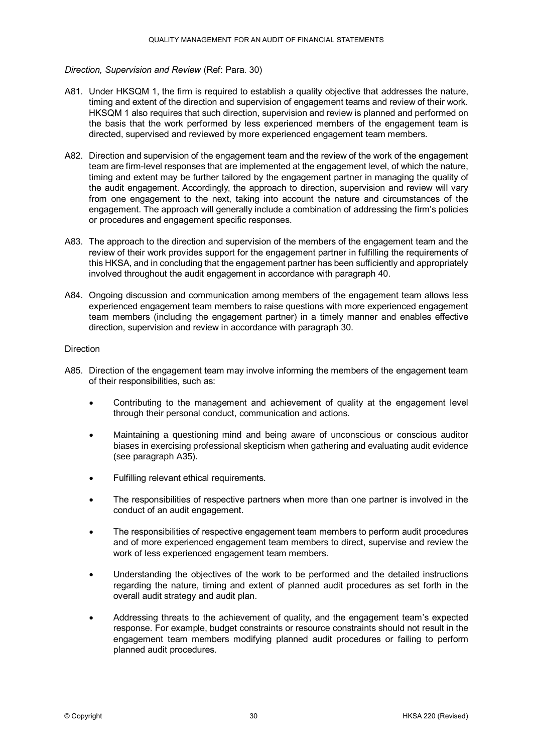#### *Direction, Supervision and Review* (Ref: Para. 30)

- A81. Under HKSQM 1, the firm is required to establish a quality objective that addresses the nature, timing and extent of the direction and supervision of engagement teams and review of their work. HKSQM 1 also requires that such direction, supervision and review is planned and performed on the basis that the work performed by less experienced members of the engagement team is directed, supervised and reviewed by more experienced engagement team members.
- A82. Direction and supervision of the engagement team and the review of the work of the engagement team are firm-level responses that are implemented at the engagement level, of which the nature, timing and extent may be further tailored by the engagement partner in managing the quality of the audit engagement. Accordingly, the approach to direction, supervision and review will vary from one engagement to the next, taking into account the nature and circumstances of the engagement. The approach will generally include a combination of addressing the firm's policies or procedures and engagement specific responses.
- A83. The approach to the direction and supervision of the members of the engagement team and the review of their work provides support for the engagement partner in fulfilling the requirements of this HKSA, and in concluding that the engagement partner has been sufficiently and appropriately involved throughout the audit engagement in accordance with paragraph 40.
- A84. Ongoing discussion and communication among members of the engagement team allows less experienced engagement team members to raise questions with more experienced engagement team members (including the engagement partner) in a timely manner and enables effective direction, supervision and review in accordance with paragraph 30.

#### Direction

- A85. Direction of the engagement team may involve informing the members of the engagement team of their responsibilities, such as:
	- Contributing to the management and achievement of quality at the engagement level through their personal conduct, communication and actions.
	- Maintaining a questioning mind and being aware of unconscious or conscious auditor biases in exercising professional skepticism when gathering and evaluating audit evidence (see paragraph A35).
	- Fulfilling relevant ethical requirements.
	- The responsibilities of respective partners when more than one partner is involved in the conduct of an audit engagement.
	- The responsibilities of respective engagement team members to perform audit procedures and of more experienced engagement team members to direct, supervise and review the work of less experienced engagement team members.
	- Understanding the objectives of the work to be performed and the detailed instructions regarding the nature, timing and extent of planned audit procedures as set forth in the overall audit strategy and audit plan.
	- Addressing threats to the achievement of quality, and the engagement team's expected response. For example, budget constraints or resource constraints should not result in the engagement team members modifying planned audit procedures or failing to perform planned audit procedures.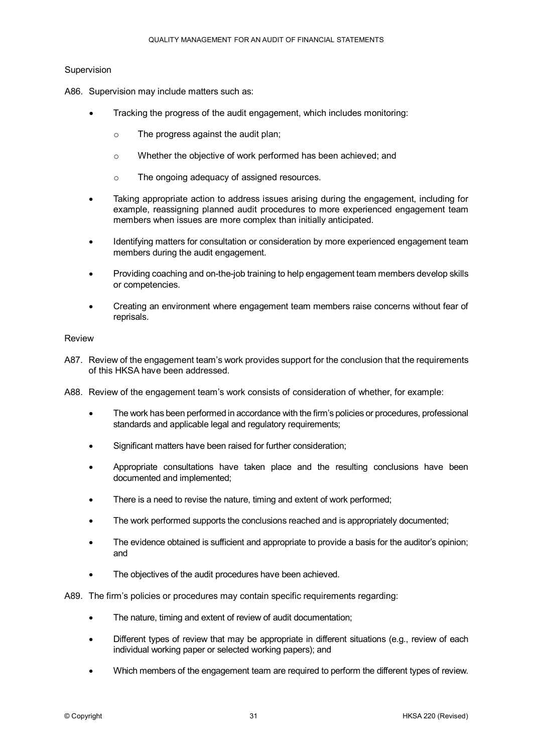#### Supervision

- A86. Supervision may include matters such as:
	- Tracking the progress of the audit engagement, which includes monitoring:
		- o The progress against the audit plan;
		- o Whether the objective of work performed has been achieved; and
		- o The ongoing adequacy of assigned resources.
	- Taking appropriate action to address issues arising during the engagement, including for example, reassigning planned audit procedures to more experienced engagement team members when issues are more complex than initially anticipated.
	- Identifying matters for consultation or consideration by more experienced engagement team members during the audit engagement.
	- Providing coaching and on-the-job training to help engagement team members develop skills or competencies.
	- Creating an environment where engagement team members raise concerns without fear of reprisals.

#### Review

- A87. Review of the engagement team's work provides support for the conclusion that the requirements of this HKSA have been addressed.
- A88. Review of the engagement team's work consists of consideration of whether, for example:
	- The work has been performed in accordance with the firm's policies or procedures, professional standards and applicable legal and regulatory requirements;
	- Significant matters have been raised for further consideration;
	- Appropriate consultations have taken place and the resulting conclusions have been documented and implemented;
	- There is a need to revise the nature, timing and extent of work performed;
	- The work performed supports the conclusions reached and is appropriately documented;
	- The evidence obtained is sufficient and appropriate to provide a basis for the auditor's opinion; and
	- The objectives of the audit procedures have been achieved.

A89. The firm's policies or procedures may contain specific requirements regarding:

- The nature, timing and extent of review of audit documentation;
- Different types of review that may be appropriate in different situations (e.g., review of each individual working paper or selected working papers); and
- Which members of the engagement team are required to perform the different types of review.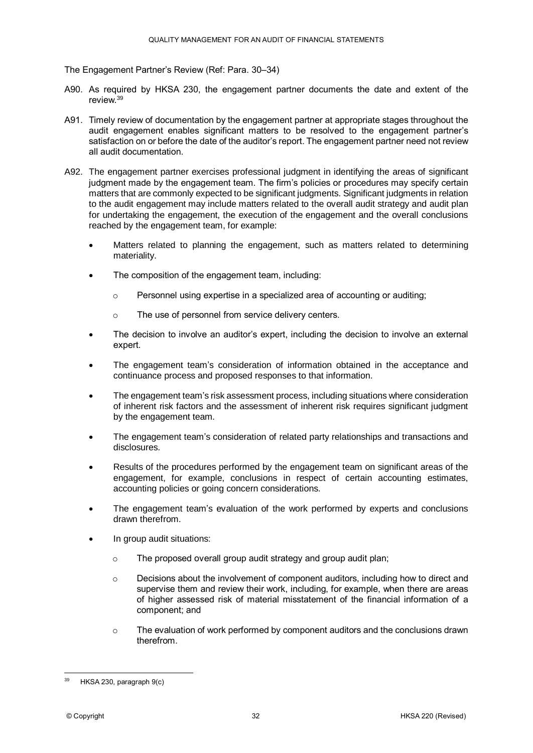The Engagement Partner's Review (Ref: Para. 30–34)

- A90. As required by HKSA 230, the engagement partner documents the date and extent of the review.<sup>39</sup>
- A91. Timely review of documentation by the engagement partner at appropriate stages throughout the audit engagement enables significant matters to be resolved to the engagement partner's satisfaction on or before the date of the auditor's report. The engagement partner need not review all audit documentation.
- A92. The engagement partner exercises professional judgment in identifying the areas of significant judgment made by the engagement team. The firm's policies or procedures may specify certain matters that are commonly expected to be significant judgments. Significant judgments in relation to the audit engagement may include matters related to the overall audit strategy and audit plan for undertaking the engagement, the execution of the engagement and the overall conclusions reached by the engagement team, for example:
	- Matters related to planning the engagement, such as matters related to determining materiality.
	- The composition of the engagement team, including:
		- $\circ$  Personnel using expertise in a specialized area of accounting or auditing;
		- o The use of personnel from service delivery centers.
	- The decision to involve an auditor's expert, including the decision to involve an external expert.
	- The engagement team's consideration of information obtained in the acceptance and continuance process and proposed responses to that information.
	- The engagement team's risk assessment process, including situations where consideration of inherent risk factors and the assessment of inherent risk requires significant judgment by the engagement team.
	- The engagement team's consideration of related party relationships and transactions and disclosures.
	- Results of the procedures performed by the engagement team on significant areas of the engagement, for example, conclusions in respect of certain accounting estimates, accounting policies or going concern considerations.
	- The engagement team's evaluation of the work performed by experts and conclusions drawn therefrom.
	- In group audit situations:
		- o The proposed overall group audit strategy and group audit plan;
		- $\circ$  Decisions about the involvement of component auditors, including how to direct and supervise them and review their work, including, for example, when there are areas of higher assessed risk of material misstatement of the financial information of a component; and
		- $\circ$  The evaluation of work performed by component auditors and the conclusions drawn therefrom.

<sup>&</sup>lt;u>.</u> HKSA 230, paragraph 9(c)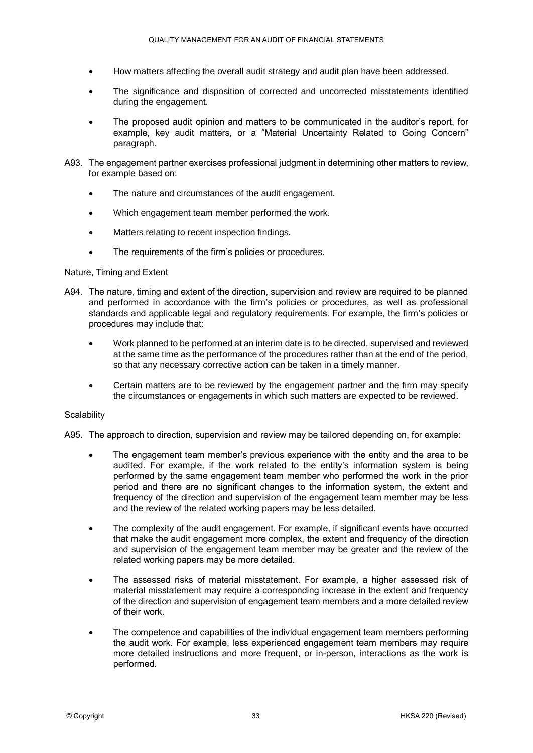- How matters affecting the overall audit strategy and audit plan have been addressed.
- The significance and disposition of corrected and uncorrected misstatements identified during the engagement.
- The proposed audit opinion and matters to be communicated in the auditor's report, for example, key audit matters, or a "Material Uncertainty Related to Going Concern" paragraph.
- A93. The engagement partner exercises professional judgment in determining other matters to review, for example based on:
	- The nature and circumstances of the audit engagement.
	- Which engagement team member performed the work.
	- Matters relating to recent inspection findings.
	- The requirements of the firm's policies or procedures.

#### Nature, Timing and Extent

- A94. The nature, timing and extent of the direction, supervision and review are required to be planned and performed in accordance with the firm's policies or procedures, as well as professional standards and applicable legal and regulatory requirements. For example, the firm's policies or procedures may include that:
	- Work planned to be performed at an interim date is to be directed, supervised and reviewed at the same time as the performance of the procedures rather than at the end of the period, so that any necessary corrective action can be taken in a timely manner.
	- Certain matters are to be reviewed by the engagement partner and the firm may specify the circumstances or engagements in which such matters are expected to be reviewed.

#### **Scalability**

A95. The approach to direction, supervision and review may be tailored depending on, for example:

- The engagement team member's previous experience with the entity and the area to be audited. For example, if the work related to the entity's information system is being performed by the same engagement team member who performed the work in the prior period and there are no significant changes to the information system, the extent and frequency of the direction and supervision of the engagement team member may be less and the review of the related working papers may be less detailed.
- The complexity of the audit engagement. For example, if significant events have occurred that make the audit engagement more complex, the extent and frequency of the direction and supervision of the engagement team member may be greater and the review of the related working papers may be more detailed.
- The assessed risks of material misstatement. For example, a higher assessed risk of material misstatement may require a corresponding increase in the extent and frequency of the direction and supervision of engagement team members and a more detailed review of their work.
- The competence and capabilities of the individual engagement team members performing the audit work. For example, less experienced engagement team members may require more detailed instructions and more frequent, or in-person, interactions as the work is performed.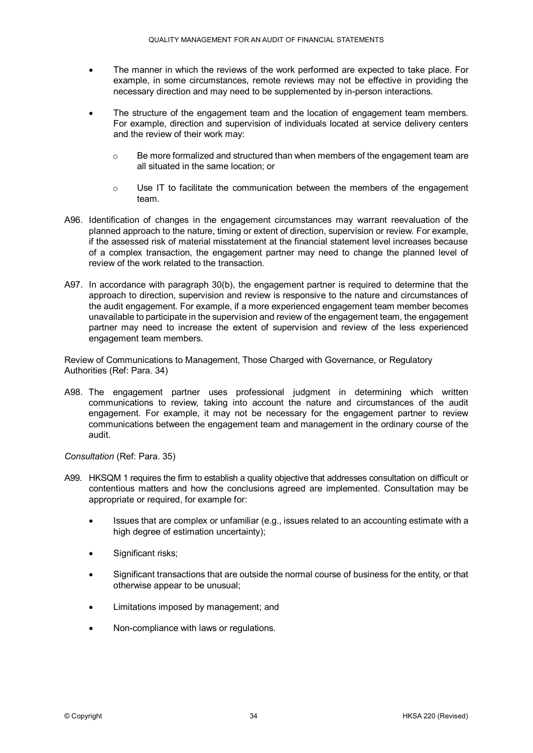- The manner in which the reviews of the work performed are expected to take place. For example, in some circumstances, remote reviews may not be effective in providing the necessary direction and may need to be supplemented by in-person interactions.
- The structure of the engagement team and the location of engagement team members. For example, direction and supervision of individuals located at service delivery centers and the review of their work may:
	- $\circ$  Be more formalized and structured than when members of the engagement team are all situated in the same location; or
	- $\circ$  Use IT to facilitate the communication between the members of the engagement team.
- A96. Identification of changes in the engagement circumstances may warrant reevaluation of the planned approach to the nature, timing or extent of direction, supervision or review. For example, if the assessed risk of material misstatement at the financial statement level increases because of a complex transaction, the engagement partner may need to change the planned level of review of the work related to the transaction.
- A97. In accordance with paragraph 30(b), the engagement partner is required to determine that the approach to direction, supervision and review is responsive to the nature and circumstances of the audit engagement. For example, if a more experienced engagement team member becomes unavailable to participate in the supervision and review of the engagement team, the engagement partner may need to increase the extent of supervision and review of the less experienced engagement team members.

Review of Communications to Management, Those Charged with Governance, or Regulatory Authorities (Ref: Para. 34)

A98. The engagement partner uses professional judgment in determining which written communications to review, taking into account the nature and circumstances of the audit engagement. For example, it may not be necessary for the engagement partner to review communications between the engagement team and management in the ordinary course of the audit.

*Consultation* (Ref: Para. 35)

- A99. HKSQM 1 requires the firm to establish a quality objective that addresses consultation on difficult or contentious matters and how the conclusions agreed are implemented. Consultation may be appropriate or required, for example for:
	- Issues that are complex or unfamiliar (e.g., issues related to an accounting estimate with a high degree of estimation uncertainty);
	- Significant risks;
	- Significant transactions that are outside the normal course of business for the entity, or that otherwise appear to be unusual;
	- Limitations imposed by management; and
	- Non-compliance with laws or regulations.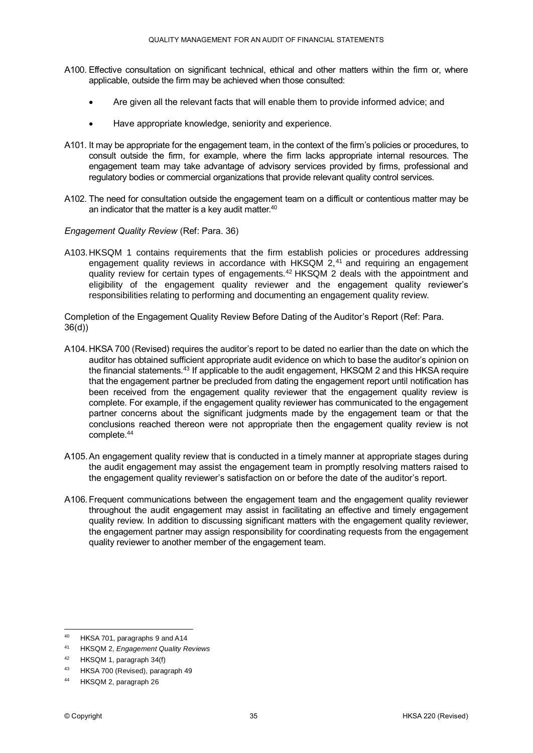- A100. Effective consultation on significant technical, ethical and other matters within the firm or, where applicable, outside the firm may be achieved when those consulted:
	- Are given all the relevant facts that will enable them to provide informed advice; and
	- Have appropriate knowledge, seniority and experience.
- A101. It may be appropriate for the engagement team, in the context of the firm's policies or procedures, to consult outside the firm, for example, where the firm lacks appropriate internal resources. The engagement team may take advantage of advisory services provided by firms, professional and regulatory bodies or commercial organizations that provide relevant quality control services.
- A102. The need for consultation outside the engagement team on a difficult or contentious matter may be an indicator that the matter is a key audit matter.<sup>40</sup>
- *Engagement Quality Review* (Ref: Para. 36)
- A103.HKSQM 1 contains requirements that the firm establish policies or procedures addressing engagement quality reviews in accordance with HKSQM  $2<sup>41</sup>$  and requiring an engagement quality review for certain types of engagements.<sup>42</sup> HKSQM 2 deals with the appointment and eligibility of the engagement quality reviewer and the engagement quality reviewer's responsibilities relating to performing and documenting an engagement quality review.

Completion of the Engagement Quality Review Before Dating of the Auditor's Report (Ref: Para. 36(d))

- A104. HKSA 700 (Revised) requires the auditor's report to be dated no earlier than the date on which the auditor has obtained sufficient appropriate audit evidence on which to base the auditor's opinion on the financial statements.<sup>43</sup> If applicable to the audit engagement, HKSQM 2 and this HKSA require that the engagement partner be precluded from dating the engagement report until notification has been received from the engagement quality reviewer that the engagement quality review is complete. For example, if the engagement quality reviewer has communicated to the engagement partner concerns about the significant judgments made by the engagement team or that the conclusions reached thereon were not appropriate then the engagement quality review is not complete.<sup>44</sup>
- A105.An engagement quality review that is conducted in a timely manner at appropriate stages during the audit engagement may assist the engagement team in promptly resolving matters raised to the engagement quality reviewer's satisfaction on or before the date of the auditor's report.
- A106.Frequent communications between the engagement team and the engagement quality reviewer throughout the audit engagement may assist in facilitating an effective and timely engagement quality review. In addition to discussing significant matters with the engagement quality reviewer, the engagement partner may assign responsibility for coordinating requests from the engagement quality reviewer to another member of the engagement team.

 $40<sup>1</sup>$ HKSA 701, paragraphs 9 and A14

<sup>41</sup> HKSQM 2, *Engagement Quality Reviews*

<sup>42</sup> HKSQM 1, paragraph 34(f)

<sup>43</sup> HKSA 700 (Revised), paragraph 49

<sup>44</sup> HKSQM 2, paragraph 26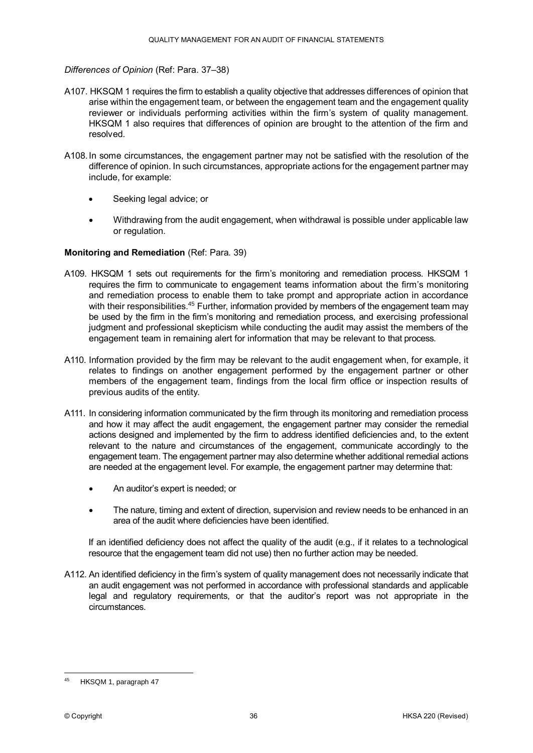#### *Differences of Opinion* (Ref: Para. 37–38)

- A107. HKSQM 1 requires the firm to establish a quality objective that addresses differences of opinion that arise within the engagement team, or between the engagement team and the engagement quality reviewer or individuals performing activities within the firm's system of quality management. HKSQM 1 also requires that differences of opinion are brought to the attention of the firm and resolved.
- A108.In some circumstances, the engagement partner may not be satisfied with the resolution of the difference of opinion. In such circumstances, appropriate actions for the engagement partner may include, for example:
	- Seeking legal advice; or
	- Withdrawing from the audit engagement, when withdrawal is possible under applicable law or regulation.

#### **Monitoring and Remediation** (Ref: Para. 39)

- A109. HKSQM 1 sets out requirements for the firm's monitoring and remediation process. HKSQM 1 requires the firm to communicate to engagement teams information about the firm's monitoring and remediation process to enable them to take prompt and appropriate action in accordance with their responsibilities.<sup>45</sup> Further, information provided by members of the engagement team may be used by the firm in the firm's monitoring and remediation process, and exercising professional judgment and professional skepticism while conducting the audit may assist the members of the engagement team in remaining alert for information that may be relevant to that process.
- A110. Information provided by the firm may be relevant to the audit engagement when, for example, it relates to findings on another engagement performed by the engagement partner or other members of the engagement team, findings from the local firm office or inspection results of previous audits of the entity.
- A111. In considering information communicated by the firm through its monitoring and remediation process and how it may affect the audit engagement, the engagement partner may consider the remedial actions designed and implemented by the firm to address identified deficiencies and, to the extent relevant to the nature and circumstances of the engagement, communicate accordingly to the engagement team. The engagement partner may also determine whether additional remedial actions are needed at the engagement level. For example, the engagement partner may determine that:
	- An auditor's expert is needed; or
	- The nature, timing and extent of direction, supervision and review needs to be enhanced in an area of the audit where deficiencies have been identified.

If an identified deficiency does not affect the quality of the audit (e.g., if it relates to a technological resource that the engagement team did not use) then no further action may be needed.

A112. An identified deficiency in the firm's system of quality management does not necessarily indicate that an audit engagement was not performed in accordance with professional standards and applicable legal and regulatory requirements, or that the auditor's report was not appropriate in the circumstances.

<sup>&</sup>lt;u>.</u> HKSQM 1, paragraph 47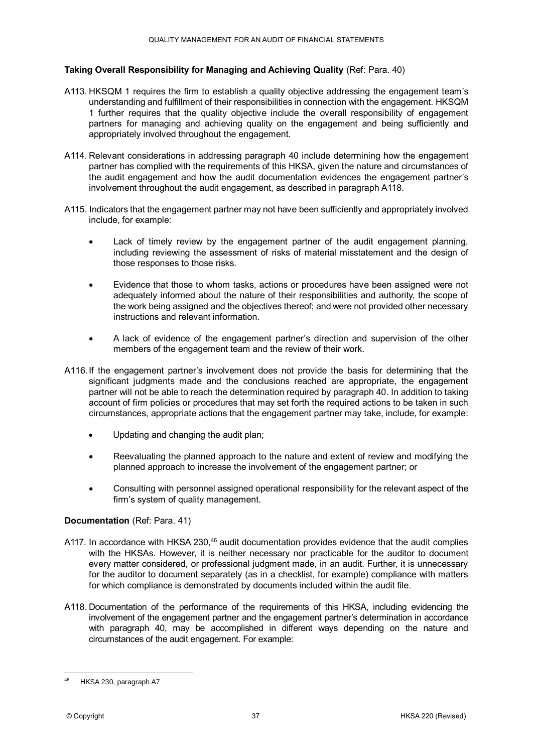#### **Taking Overall Responsibility for Managing and Achieving Quality** (Ref: Para. 40)

- A113. HKSQM 1 requires the firm to establish a quality objective addressing the engagement team's understanding and fulfillment of their responsibilities in connection with the engagement. HKSQM 1 further requires that the quality objective include the overall responsibility of engagement partners for managing and achieving quality on the engagement and being sufficiently and appropriately involved throughout the engagement.
- A114. Relevant considerations in addressing paragraph 40 include determining how the engagement partner has complied with the requirements of this HKSA, given the nature and circumstances of the audit engagement and how the audit documentation evidences the engagement partner's involvement throughout the audit engagement, as described in paragraph A118.
- A115. Indicators that the engagement partner may not have been sufficiently and appropriately involved include, for example:
	- Lack of timely review by the engagement partner of the audit engagement planning, including reviewing the assessment of risks of material misstatement and the design of those responses to those risks.
	- Evidence that those to whom tasks, actions or procedures have been assigned were not adequately informed about the nature of their responsibilities and authority, the scope of the work being assigned and the objectives thereof; and were not provided other necessary instructions and relevant information.
	- A lack of evidence of the engagement partner's direction and supervision of the other members of the engagement team and the review of their work.
- A116.If the engagement partner's involvement does not provide the basis for determining that the significant judgments made and the conclusions reached are appropriate, the engagement partner will not be able to reach the determination required by paragraph 40. In addition to taking account of firm policies or procedures that may set forth the required actions to be taken in such circumstances, appropriate actions that the engagement partner may take, include, for example:
	- Updating and changing the audit plan;
	- Reevaluating the planned approach to the nature and extent of review and modifying the planned approach to increase the involvement of the engagement partner; or
	- Consulting with personnel assigned operational responsibility for the relevant aspect of the firm's system of quality management.

#### **Documentation** (Ref: Para. 41)

- A117. In accordance with HKSA 230,<sup>46</sup> audit documentation provides evidence that the audit complies with the HKSAs. However, it is neither necessary nor practicable for the auditor to document every matter considered, or professional judgment made, in an audit. Further, it is unnecessary for the auditor to document separately (as in a checklist, for example) compliance with matters for which compliance is demonstrated by documents included within the audit file.
- A118. Documentation of the performance of the requirements of this HKSA, including evidencing the involvement of the engagement partner and the engagement partner's determination in accordance with paragraph 40, may be accomplished in different ways depending on the nature and circumstances of the audit engagement. For example:

<sup>&</sup>lt;u>.</u> <sup>46</sup> HKSA 230, paragraph A7